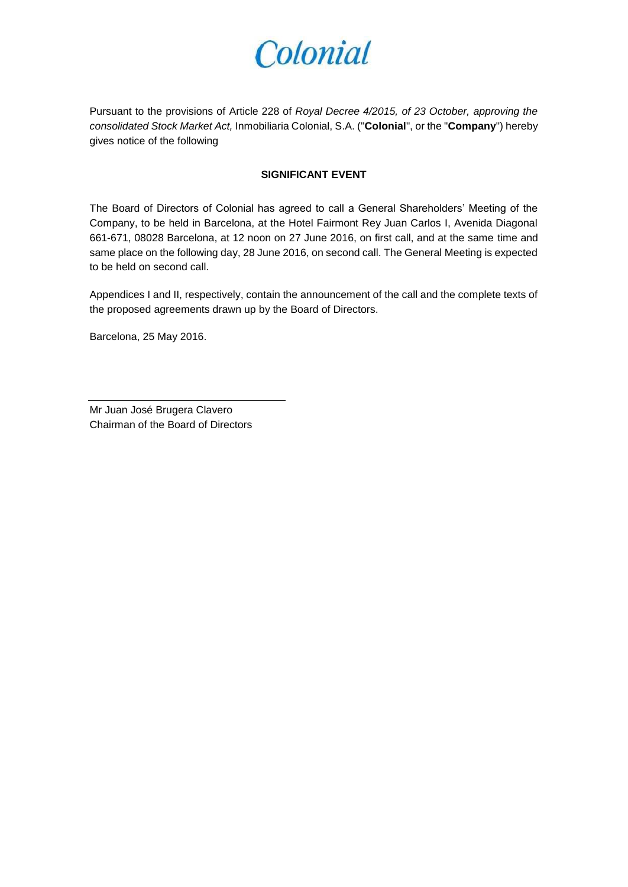Pursuant to the provisions of Article 228 of *Royal Decree 4/2015, of 23 October, approving the consolidated Stock Market Act,* Inmobiliaria Colonial, S.A. ("**Colonial**", or the "**Company**") hereby gives notice of the following

#### **SIGNIFICANT EVENT**

The Board of Directors of Colonial has agreed to call a General Shareholders' Meeting of the Company, to be held in Barcelona, at the Hotel Fairmont Rey Juan Carlos I, Avenida Diagonal 661-671, 08028 Barcelona, at 12 noon on 27 June 2016, on first call, and at the same time and same place on the following day, 28 June 2016, on second call. The General Meeting is expected to be held on second call.

Appendices I and II, respectively, contain the announcement of the call and the complete texts of the proposed agreements drawn up by the Board of Directors.

Barcelona, 25 May 2016.

Mr Juan José Brugera Clavero Chairman of the Board of Directors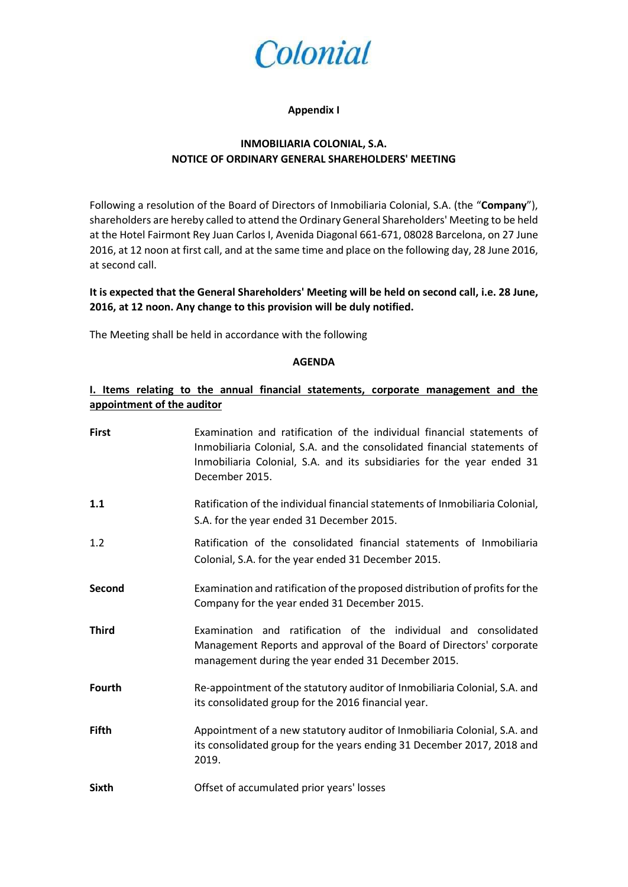

#### **Appendix I**

### **INMOBILIARIA COLONIAL, S.A. NOTICE OF ORDINARY GENERAL SHAREHOLDERS' MEETING**

Following a resolution of the Board of Directors of Inmobiliaria Colonial, S.A. (the "**Company**"), shareholders are hereby called to attend the Ordinary General Shareholders' Meeting to be held at the Hotel Fairmont Rey Juan Carlos I, Avenida Diagonal 661-671, 08028 Barcelona, on 27 June 2016, at 12 noon at first call, and at the same time and place on the following day, 28 June 2016, at second call.

**It is expected that the General Shareholders' Meeting will be held on second call, i.e. 28 June, 2016, at 12 noon. Any change to this provision will be duly notified.** 

The Meeting shall be held in accordance with the following

#### **AGENDA**

### **I. Items relating to the annual financial statements, corporate management and the appointment of the auditor**

| <b>First</b>  | Examination and ratification of the individual financial statements of<br>Inmobiliaria Colonial, S.A. and the consolidated financial statements of<br>Inmobiliaria Colonial, S.A. and its subsidiaries for the year ended 31<br>December 2015. |
|---------------|------------------------------------------------------------------------------------------------------------------------------------------------------------------------------------------------------------------------------------------------|
| 1.1           | Ratification of the individual financial statements of Inmobiliaria Colonial,<br>S.A. for the year ended 31 December 2015.                                                                                                                     |
| 1.2           | Ratification of the consolidated financial statements of Inmobiliaria<br>Colonial, S.A. for the year ended 31 December 2015.                                                                                                                   |
| Second        | Examination and ratification of the proposed distribution of profits for the<br>Company for the year ended 31 December 2015.                                                                                                                   |
| <b>Third</b>  | Examination and ratification of the individual and consolidated<br>Management Reports and approval of the Board of Directors' corporate<br>management during the year ended 31 December 2015.                                                  |
| <b>Fourth</b> | Re-appointment of the statutory auditor of Inmobiliaria Colonial, S.A. and<br>its consolidated group for the 2016 financial year.                                                                                                              |
| <b>Fifth</b>  | Appointment of a new statutory auditor of Inmobiliaria Colonial, S.A. and<br>its consolidated group for the years ending 31 December 2017, 2018 and<br>2019.                                                                                   |
| <b>Sixth</b>  | Offset of accumulated prior years' losses                                                                                                                                                                                                      |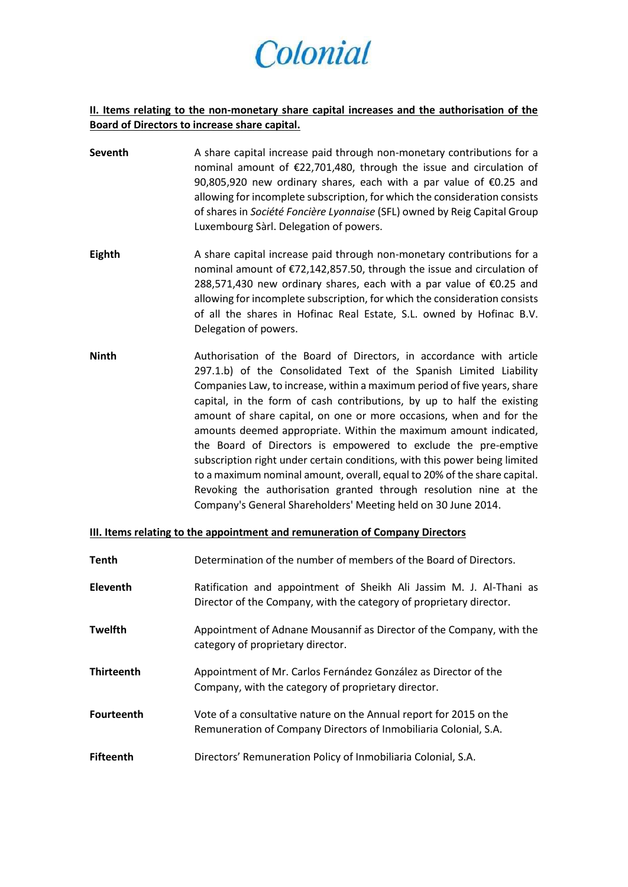### **II. Items relating to the non-monetary share capital increases and the authorisation of the Board of Directors to increase share capital.**

- **Seventh** A share capital increase paid through non-monetary contributions for a nominal amount of €22,701,480, through the issue and circulation of 90,805,920 new ordinary shares, each with a par value of €0.25 and allowing for incomplete subscription, for which the consideration consists of shares in *Société Foncière Lyonnaise* (SFL) owned by Reig Capital Group Luxembourg Sàrl. Delegation of powers.
- **Eighth** A share capital increase paid through non-monetary contributions for a nominal amount of €72,142,857.50, through the issue and circulation of 288,571,430 new ordinary shares, each with a par value of €0.25 and allowing for incomplete subscription, for which the consideration consists of all the shares in Hofinac Real Estate, S.L. owned by Hofinac B.V. Delegation of powers.
- **Ninth Authorisation of the Board of Directors**, in accordance with article 297.1.b) of the Consolidated Text of the Spanish Limited Liability Companies Law, to increase, within a maximum period of five years, share capital, in the form of cash contributions, by up to half the existing amount of share capital, on one or more occasions, when and for the amounts deemed appropriate. Within the maximum amount indicated, the Board of Directors is empowered to exclude the pre-emptive subscription right under certain conditions, with this power being limited to a maximum nominal amount, overall, equal to 20% of the share capital. Revoking the authorisation granted through resolution nine at the Company's General Shareholders' Meeting held on 30 June 2014.

#### **III. Items relating to the appointment and remuneration of Company Directors**

| <b>Tenth</b>      | Determination of the number of members of the Board of Directors.                                                                          |
|-------------------|--------------------------------------------------------------------------------------------------------------------------------------------|
| <b>Eleventh</b>   | Ratification and appointment of Sheikh Ali Jassim M. J. Al-Thani as<br>Director of the Company, with the category of proprietary director. |
| <b>Twelfth</b>    | Appointment of Adnane Mousannif as Director of the Company, with the<br>category of proprietary director.                                  |
| <b>Thirteenth</b> | Appointment of Mr. Carlos Fernández González as Director of the<br>Company, with the category of proprietary director.                     |
| <b>Fourteenth</b> | Vote of a consultative nature on the Annual report for 2015 on the<br>Remuneration of Company Directors of Inmobiliaria Colonial, S.A.     |
| <b>Fifteenth</b>  | Directors' Remuneration Policy of Inmobiliaria Colonial, S.A.                                                                              |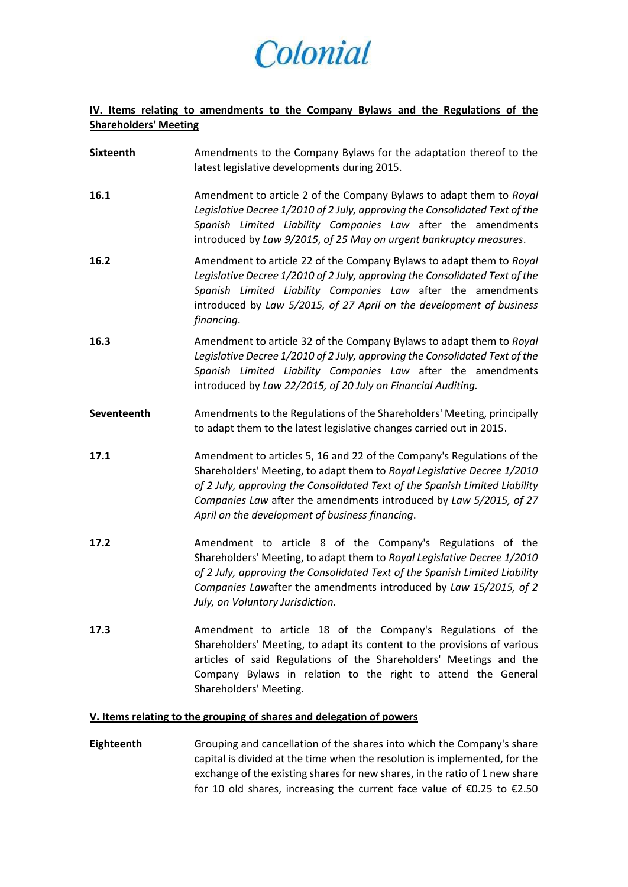## **IV. Items relating to amendments to the Company Bylaws and the Regulations of the Shareholders' Meeting**

| <b>Sixteenth</b> | Amendments to the Company Bylaws for the adaptation thereof to the<br>latest legislative developments during 2015.                                                                                                                                                                                                                                        |
|------------------|-----------------------------------------------------------------------------------------------------------------------------------------------------------------------------------------------------------------------------------------------------------------------------------------------------------------------------------------------------------|
| 16.1             | Amendment to article 2 of the Company Bylaws to adapt them to Royal<br>Legislative Decree 1/2010 of 2 July, approving the Consolidated Text of the<br>Spanish Limited Liability Companies Law after the amendments<br>introduced by Law 9/2015, of 25 May on urgent bankruptcy measures.                                                                  |
| 16.2             | Amendment to article 22 of the Company Bylaws to adapt them to Royal<br>Legislative Decree 1/2010 of 2 July, approving the Consolidated Text of the<br>Spanish Limited Liability Companies Law after the amendments<br>introduced by Law 5/2015, of 27 April on the development of business<br>financing.                                                 |
| 16.3             | Amendment to article 32 of the Company Bylaws to adapt them to Royal<br>Legislative Decree 1/2010 of 2 July, approving the Consolidated Text of the<br>Spanish Limited Liability Companies Law after the amendments<br>introduced by Law 22/2015, of 20 July on Financial Auditing.                                                                       |
| Seventeenth      | Amendments to the Regulations of the Shareholders' Meeting, principally<br>to adapt them to the latest legislative changes carried out in 2015.                                                                                                                                                                                                           |
| 17.1             | Amendment to articles 5, 16 and 22 of the Company's Regulations of the<br>Shareholders' Meeting, to adapt them to Royal Legislative Decree 1/2010<br>of 2 July, approving the Consolidated Text of the Spanish Limited Liability<br>Companies Law after the amendments introduced by Law 5/2015, of 27<br>April on the development of business financing. |
| 17.2             | Amendment to article 8 of the Company's Regulations of the<br>Shareholders' Meeting, to adapt them to Royal Legislative Decree 1/2010<br>of 2 July, approving the Consolidated Text of the Spanish Limited Liability<br>Companies Lawafter the amendments introduced by Law 15/2015, of 2<br>July, on Voluntary Jurisdiction.                             |
| 17.3             | Amendment to article 18 of the Company's Regulations of the<br>Shareholders' Meeting, to adapt its content to the provisions of various<br>articles of said Regulations of the Shareholders' Meetings and the<br>Company Bylaws in relation to the right to attend the General<br>Shareholders' Meeting.                                                  |

### **V. Items relating to the grouping of shares and delegation of powers**

**Eighteenth** Grouping and cancellation of the shares into which the Company's share capital is divided at the time when the resolution is implemented, for the exchange of the existing shares for new shares, in the ratio of 1 new share for 10 old shares, increasing the current face value of €0.25 to €2.50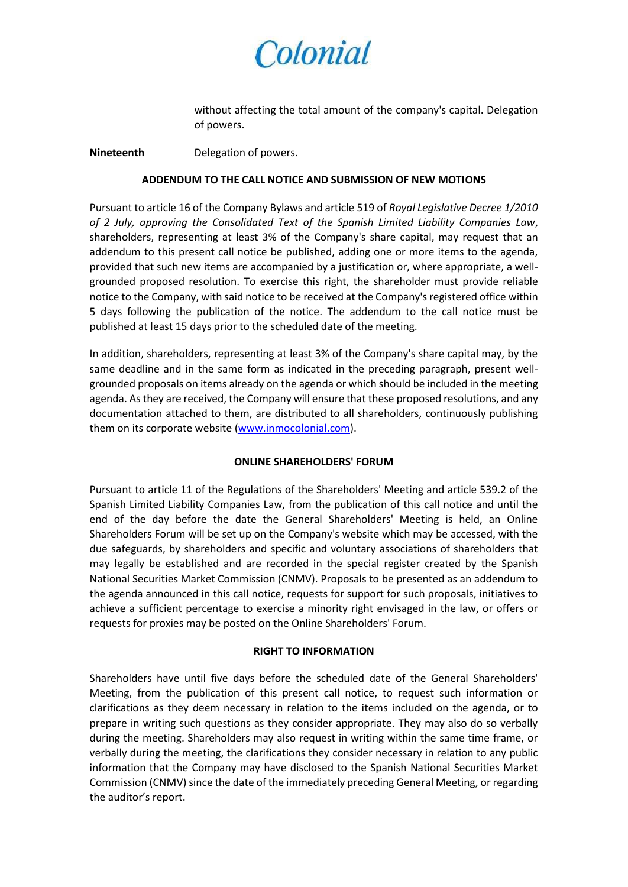

without affecting the total amount of the company's capital. Delegation of powers.

**Nineteenth** Delegation of powers.

#### **ADDENDUM TO THE CALL NOTICE AND SUBMISSION OF NEW MOTIONS**

Pursuant to article 16 of the Company Bylaws and article 519 of *Royal Legislative Decree 1/2010 of 2 July, approving the Consolidated Text of the Spanish Limited Liability Companies Law*, shareholders, representing at least 3% of the Company's share capital, may request that an addendum to this present call notice be published, adding one or more items to the agenda, provided that such new items are accompanied by a justification or, where appropriate, a wellgrounded proposed resolution. To exercise this right, the shareholder must provide reliable notice to the Company, with said notice to be received at the Company's registered office within 5 days following the publication of the notice. The addendum to the call notice must be published at least 15 days prior to the scheduled date of the meeting.

In addition, shareholders, representing at least 3% of the Company's share capital may, by the same deadline and in the same form as indicated in the preceding paragraph, present wellgrounded proposals on items already on the agenda or which should be included in the meeting agenda. As they are received, the Company will ensure that these proposed resolutions, and any documentation attached to them, are distributed to all shareholders, continuously publishing them on its corporate website [\(www.inmocolonial.com\)](http://www.inmocolonial.com/).

#### **ONLINE SHAREHOLDERS' FORUM**

Pursuant to article 11 of the Regulations of the Shareholders' Meeting and article 539.2 of the Spanish Limited Liability Companies Law, from the publication of this call notice and until the end of the day before the date the General Shareholders' Meeting is held, an Online Shareholders Forum will be set up on the Company's website which may be accessed, with the due safeguards, by shareholders and specific and voluntary associations of shareholders that may legally be established and are recorded in the special register created by the Spanish National Securities Market Commission (CNMV). Proposals to be presented as an addendum to the agenda announced in this call notice, requests for support for such proposals, initiatives to achieve a sufficient percentage to exercise a minority right envisaged in the law, or offers or requests for proxies may be posted on the Online Shareholders' Forum.

#### **RIGHT TO INFORMATION**

Shareholders have until five days before the scheduled date of the General Shareholders' Meeting, from the publication of this present call notice, to request such information or clarifications as they deem necessary in relation to the items included on the agenda, or to prepare in writing such questions as they consider appropriate. They may also do so verbally during the meeting. Shareholders may also request in writing within the same time frame, or verbally during the meeting, the clarifications they consider necessary in relation to any public information that the Company may have disclosed to the Spanish National Securities Market Commission (CNMV) since the date of the immediately preceding General Meeting, or regarding the auditor's report.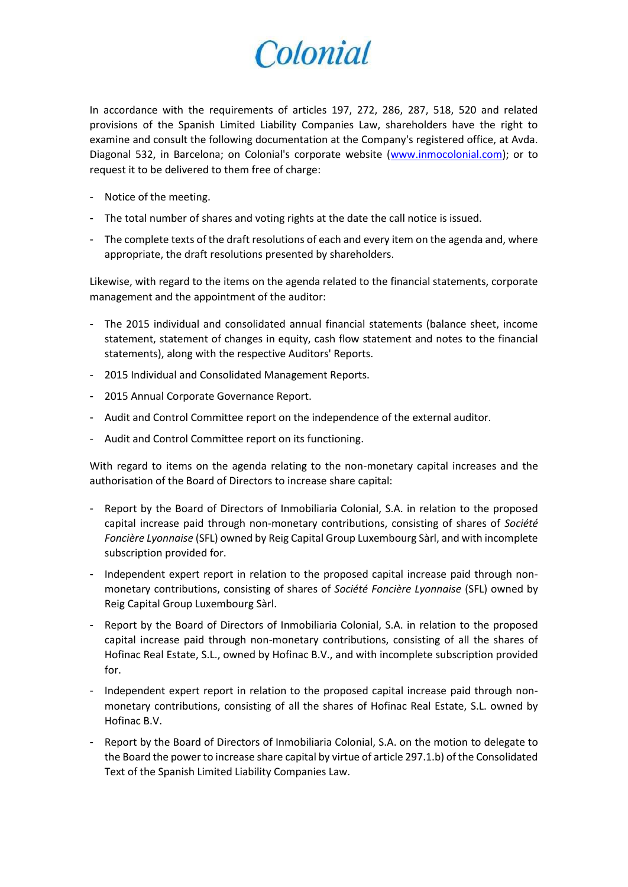In accordance with the requirements of articles 197, 272, 286, 287, 518, 520 and related provisions of the Spanish Limited Liability Companies Law, shareholders have the right to examine and consult the following documentation at the Company's registered office, at Avda. Diagonal 532, in Barcelona; on Colonial's corporate website [\(www.inmocolonial.com\)](http://www.inmocolonial.com/); or to request it to be delivered to them free of charge:

- Notice of the meeting.
- The total number of shares and voting rights at the date the call notice is issued.
- The complete texts of the draft resolutions of each and every item on the agenda and, where appropriate, the draft resolutions presented by shareholders.

Likewise, with regard to the items on the agenda related to the financial statements, corporate management and the appointment of the auditor:

- The 2015 individual and consolidated annual financial statements (balance sheet, income statement, statement of changes in equity, cash flow statement and notes to the financial statements), along with the respective Auditors' Reports.
- 2015 Individual and Consolidated Management Reports.
- 2015 Annual Corporate Governance Report.
- Audit and Control Committee report on the independence of the external auditor.
- Audit and Control Committee report on its functioning.

With regard to items on the agenda relating to the non-monetary capital increases and the authorisation of the Board of Directors to increase share capital:

- Report by the Board of Directors of Inmobiliaria Colonial, S.A. in relation to the proposed capital increase paid through non-monetary contributions, consisting of shares of *Société Foncière Lyonnaise* (SFL) owned by Reig Capital Group Luxembourg Sàrl, and with incomplete subscription provided for.
- Independent expert report in relation to the proposed capital increase paid through nonmonetary contributions, consisting of shares of *Société Foncière Lyonnaise* (SFL) owned by Reig Capital Group Luxembourg Sàrl.
- Report by the Board of Directors of Inmobiliaria Colonial, S.A. in relation to the proposed capital increase paid through non-monetary contributions, consisting of all the shares of Hofinac Real Estate, S.L., owned by Hofinac B.V., and with incomplete subscription provided for.
- Independent expert report in relation to the proposed capital increase paid through nonmonetary contributions, consisting of all the shares of Hofinac Real Estate, S.L. owned by Hofinac B.V.
- Report by the Board of Directors of Inmobiliaria Colonial, S.A. on the motion to delegate to the Board the power to increase share capital by virtue of article 297.1.b) of the Consolidated Text of the Spanish Limited Liability Companies Law.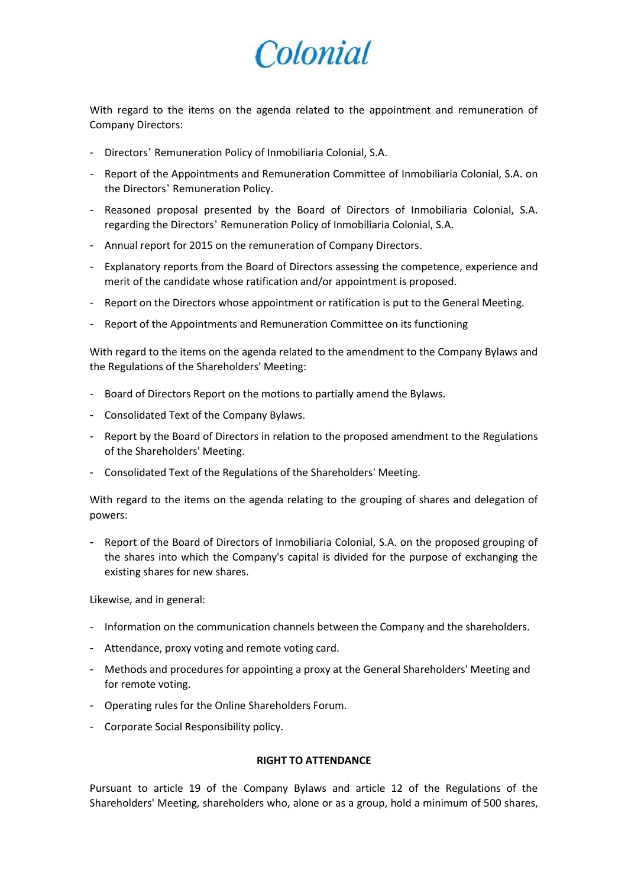With regard to the items on the agenda related to the appointment and remuneration of Company Directors:

- Directors' Remuneration Policy of Inmobiliaria Colonial, S.A.
- Report of the Appointments and Remuneration Committee of Inmobiliaria Colonial, S.A. on the Directors' Remuneration Policy.
- Reasoned proposal presented by the Board of Directors of Inmobiliaria Colonial, S.A. regarding the Directors' Remuneration Policy of Inmobiliaria Colonial, S.A.
- Annual report for 2015 on the remuneration of Company Directors.
- Explanatory reports from the Board of Directors assessing the competence, experience and merit of the candidate whose ratification and/or appointment is proposed.
- Report on the Directors whose appointment or ratification is put to the General Meeting.
- Report of the Appointments and Remuneration Committee on its functioning

With regard to the items on the agenda related to the amendment to the Company Bylaws and the Regulations of the Shareholders' Meeting:

- Board of Directors Report on the motions to partially amend the Bylaws.
- Consolidated Text of the Company Bylaws.
- Report by the Board of Directors in relation to the proposed amendment to the Regulations of the Shareholders' Meeting.
- Consolidated Text of the Regulations of the Shareholders' Meeting.

With regard to the items on the agenda relating to the grouping of shares and delegation of powers:

- Report of the Board of Directors of Inmobiliaria Colonial, S.A. on the proposed grouping of the shares into which the Company's capital is divided for the purpose of exchanging the existing shares for new shares.

Likewise, and in general:

- Information on the communication channels between the Company and the shareholders.
- Attendance, proxy voting and remote voting card.
- Methods and procedures for appointing a proxy at the General Shareholders' Meeting and for remote voting.
- Operating rules for the Online Shareholders Forum.
- Corporate Social Responsibility policy.

#### **RIGHT TO ATTENDANCE**

Pursuant to article 19 of the Company Bylaws and article 12 of the Regulations of the Shareholders' Meeting, shareholders who, alone or as a group, hold a minimum of 500 shares,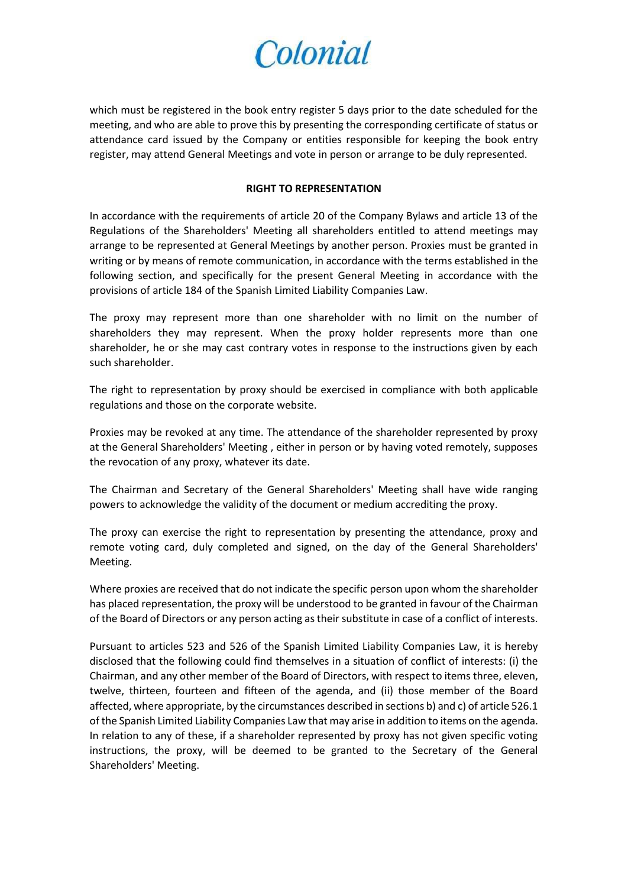which must be registered in the book entry register 5 days prior to the date scheduled for the meeting, and who are able to prove this by presenting the corresponding certificate of status or attendance card issued by the Company or entities responsible for keeping the book entry register, may attend General Meetings and vote in person or arrange to be duly represented.

#### **RIGHT TO REPRESENTATION**

In accordance with the requirements of article 20 of the Company Bylaws and article 13 of the Regulations of the Shareholders' Meeting all shareholders entitled to attend meetings may arrange to be represented at General Meetings by another person. Proxies must be granted in writing or by means of remote communication, in accordance with the terms established in the following section, and specifically for the present General Meeting in accordance with the provisions of article 184 of the Spanish Limited Liability Companies Law.

The proxy may represent more than one shareholder with no limit on the number of shareholders they may represent. When the proxy holder represents more than one shareholder, he or she may cast contrary votes in response to the instructions given by each such shareholder.

The right to representation by proxy should be exercised in compliance with both applicable regulations and those on the corporate website.

Proxies may be revoked at any time. The attendance of the shareholder represented by proxy at the General Shareholders' Meeting , either in person or by having voted remotely, supposes the revocation of any proxy, whatever its date.

The Chairman and Secretary of the General Shareholders' Meeting shall have wide ranging powers to acknowledge the validity of the document or medium accrediting the proxy.

The proxy can exercise the right to representation by presenting the attendance, proxy and remote voting card, duly completed and signed, on the day of the General Shareholders' Meeting.

Where proxies are received that do not indicate the specific person upon whom the shareholder has placed representation, the proxy will be understood to be granted in favour of the Chairman of the Board of Directors or any person acting as their substitute in case of a conflict of interests.

Pursuant to articles 523 and 526 of the Spanish Limited Liability Companies Law, it is hereby disclosed that the following could find themselves in a situation of conflict of interests: (i) the Chairman, and any other member of the Board of Directors, with respect to items three, eleven, twelve, thirteen, fourteen and fifteen of the agenda, and (ii) those member of the Board affected, where appropriate, by the circumstances described in sections b) and c) of article 526.1 of the Spanish Limited Liability Companies Law that may arise in addition to items on the agenda. In relation to any of these, if a shareholder represented by proxy has not given specific voting instructions, the proxy, will be deemed to be granted to the Secretary of the General Shareholders' Meeting.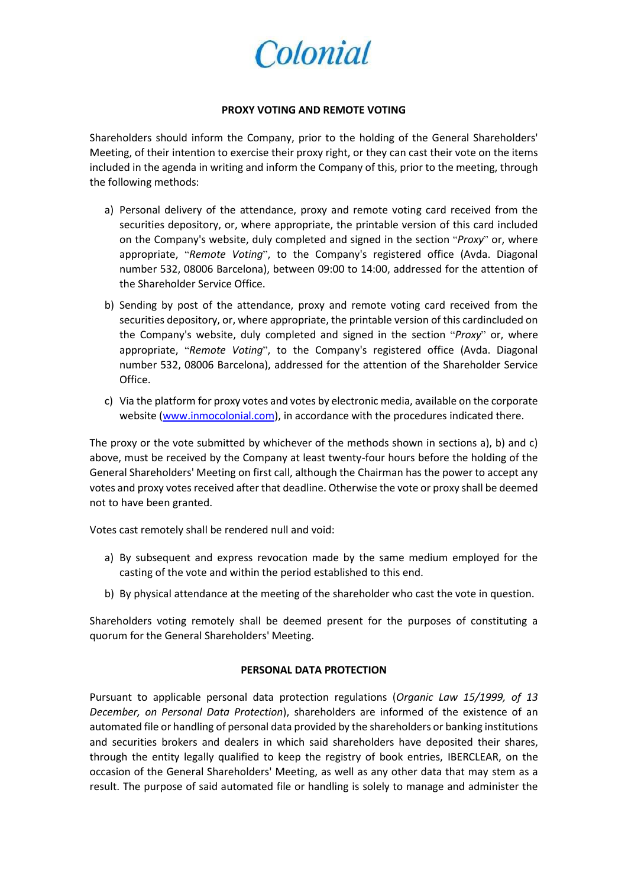

#### **PROXY VOTING AND REMOTE VOTING**

Shareholders should inform the Company, prior to the holding of the General Shareholders' Meeting, of their intention to exercise their proxy right, or they can cast their vote on the items included in the agenda in writing and inform the Company of this, prior to the meeting, through the following methods:

- a) Personal delivery of the attendance, proxy and remote voting card received from the securities depository, or, where appropriate, the printable version of this card included on the Company's website, duly completed and signed in the section "*Proxy*" or, where appropriate, "*Remote Voting*", to the Company's registered office (Avda. Diagonal number 532, 08006 Barcelona), between 09:00 to 14:00, addressed for the attention of the Shareholder Service Office.
- b) Sending by post of the attendance, proxy and remote voting card received from the securities depository, or, where appropriate, the printable version of this cardincluded on the Company's website, duly completed and signed in the section "*Proxy*" or, where appropriate, "*Remote Voting*", to the Company's registered office (Avda. Diagonal number 532, 08006 Barcelona), addressed for the attention of the Shareholder Service Office.
- c) Via the platform for proxy votes and votes by electronic media, available on the corporate website [\(www.inmocolonial.com\)](http://www.inmocolonial.com/), in accordance with the procedures indicated there.

The proxy or the vote submitted by whichever of the methods shown in sections a), b) and c) above, must be received by the Company at least twenty-four hours before the holding of the General Shareholders' Meeting on first call, although the Chairman has the power to accept any votes and proxy votes received after that deadline. Otherwise the vote or proxy shall be deemed not to have been granted.

Votes cast remotely shall be rendered null and void:

- a) By subsequent and express revocation made by the same medium employed for the casting of the vote and within the period established to this end.
- b) By physical attendance at the meeting of the shareholder who cast the vote in question.

Shareholders voting remotely shall be deemed present for the purposes of constituting a quorum for the General Shareholders' Meeting.

#### **PERSONAL DATA PROTECTION**

Pursuant to applicable personal data protection regulations (*Organic Law 15/1999, of 13 December, on Personal Data Protection*), shareholders are informed of the existence of an automated file or handling of personal data provided by the shareholders or banking institutions and securities brokers and dealers in which said shareholders have deposited their shares, through the entity legally qualified to keep the registry of book entries, IBERCLEAR, on the occasion of the General Shareholders' Meeting, as well as any other data that may stem as a result. The purpose of said automated file or handling is solely to manage and administer the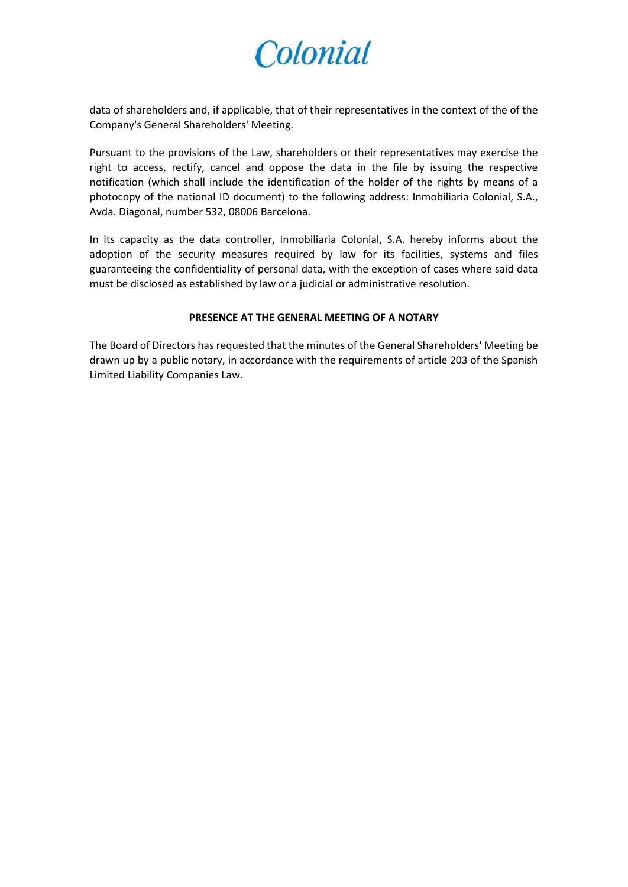data of shareholders and, if applicable, that of their representatives in the context of the of the Company's General Shareholders' Meeting.

Pursuant to the provisions of the Law, shareholders or their representatives may exercise the right to access, rectify, cancel and oppose the data in the file by issuing the respective notification (which shall include the identification of the holder of the rights by means of a photocopy of the national ID document) to the following address: Inmobiliaria Colonial, S.A., Avda. Diagonal, number 532, 08006 Barcelona.

In its capacity as the data controller, Inmobiliaria Colonial, S.A. hereby informs about the adoption of the security measures required by law for its facilities, systems and files guaranteeing the confidentiality of personal data, with the exception of cases where said data must be disclosed as established by law or a judicial or administrative resolution.

#### **PRESENCE AT THE GENERAL MEETING OF A NOTARY**

The Board of Directors has requested that the minutes of the General Shareholders' Meeting be drawn up by a public notary, in accordance with the requirements of article 203 of the Spanish Limited Liability Companies Law.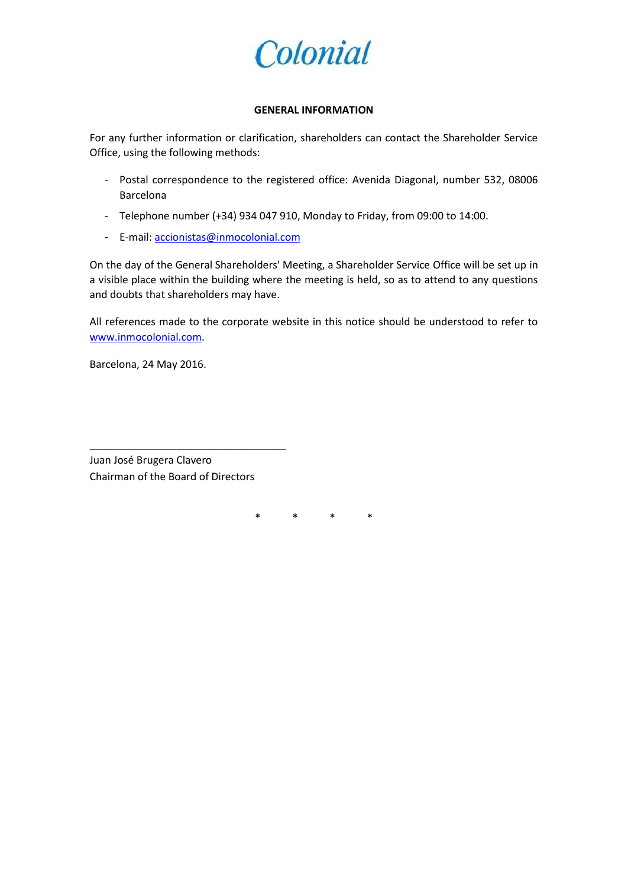

#### **GENERAL INFORMATION**

For any further information or clarification, shareholders can contact the Shareholder Service Office, using the following methods:

- Postal correspondence to the registered office: Avenida Diagonal, number 532, 08006 Barcelona
- Telephone number (+34) 934 047 910, Monday to Friday, from 09:00 to 14:00.
- E-mail[: accionistas@inmocolonial.com](mailto:accionistas@inmocolonial.com)

On the day of the General Shareholders' Meeting, a Shareholder Service Office will be set up in a visible place within the building where the meeting is held, so as to attend to any questions and doubts that shareholders may have.

All references made to the corporate website in this notice should be understood to refer to [www.inmocolonial.com.](http://www.inmocolonial.com/)

Barcelona, 24 May 2016.

Juan José Brugera Clavero Chairman of the Board of Directors

\_\_\_\_\_\_\_\_\_\_\_\_\_\_\_\_\_\_\_\_\_\_\_\_\_\_\_\_\_\_\_\_\_\_

\* \* \* \*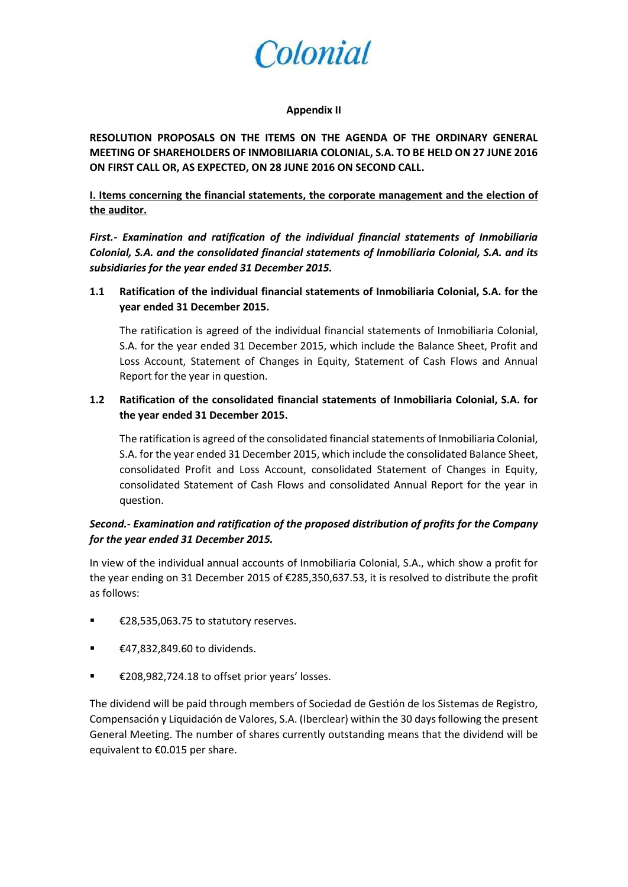

#### **Appendix II**

**RESOLUTION PROPOSALS ON THE ITEMS ON THE AGENDA OF THE ORDINARY GENERAL MEETING OF SHAREHOLDERS OF INMOBILIARIA COLONIAL, S.A. TO BE HELD ON 27 JUNE 2016 ON FIRST CALL OR, AS EXPECTED, ON 28 JUNE 2016 ON SECOND CALL.**

### **I. Items concerning the financial statements, the corporate management and the election of the auditor.**

*First.- Examination and ratification of the individual financial statements of Inmobiliaria Colonial, S.A. and the consolidated financial statements of Inmobiliaria Colonial, S.A. and its subsidiaries for the year ended 31 December 2015.* 

**1.1 Ratification of the individual financial statements of Inmobiliaria Colonial, S.A. for the year ended 31 December 2015.**

The ratification is agreed of the individual financial statements of Inmobiliaria Colonial, S.A. for the year ended 31 December 2015, which include the Balance Sheet, Profit and Loss Account, Statement of Changes in Equity, Statement of Cash Flows and Annual Report for the year in question.

## **1.2 Ratification of the consolidated financial statements of Inmobiliaria Colonial, S.A. for the year ended 31 December 2015.**

The ratification is agreed of the consolidated financial statements of Inmobiliaria Colonial, S.A. for the year ended 31 December 2015, which include the consolidated Balance Sheet, consolidated Profit and Loss Account, consolidated Statement of Changes in Equity, consolidated Statement of Cash Flows and consolidated Annual Report for the year in question.

## *Second.- Examination and ratification of the proposed distribution of profits for the Company for the year ended 31 December 2015.*

In view of the individual annual accounts of Inmobiliaria Colonial, S.A., which show a profit for the year ending on 31 December 2015 of €285,350,637.53, it is resolved to distribute the profit as follows:

- €28,535,063.75 to statutory reserves.
- €47,832,849.60 to dividends.
- €208,982,724.18 to offset prior years' losses.

The dividend will be paid through members of Sociedad de Gestión de los Sistemas de Registro, Compensación y Liquidación de Valores, S.A. (Iberclear) within the 30 days following the present General Meeting. The number of shares currently outstanding means that the dividend will be equivalent to €0.015 per share.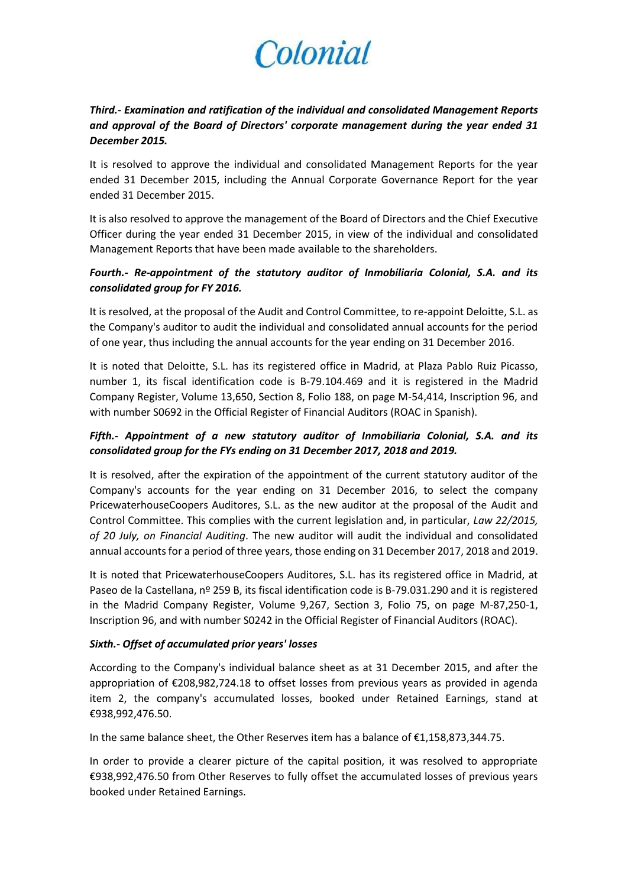## *Third.- Examination and ratification of the individual and consolidated Management Reports and approval of the Board of Directors' corporate management during the year ended 31 December 2015.*

It is resolved to approve the individual and consolidated Management Reports for the year ended 31 December 2015, including the Annual Corporate Governance Report for the year ended 31 December 2015.

It is also resolved to approve the management of the Board of Directors and the Chief Executive Officer during the year ended 31 December 2015, in view of the individual and consolidated Management Reports that have been made available to the shareholders.

## *Fourth.- Re-appointment of the statutory auditor of Inmobiliaria Colonial, S.A. and its consolidated group for FY 2016.*

It is resolved, at the proposal of the Audit and Control Committee, to re-appoint Deloitte, S.L. as the Company's auditor to audit the individual and consolidated annual accounts for the period of one year, thus including the annual accounts for the year ending on 31 December 2016.

It is noted that Deloitte, S.L. has its registered office in Madrid, at Plaza Pablo Ruiz Picasso, number 1, its fiscal identification code is B-79.104.469 and it is registered in the Madrid Company Register, Volume 13,650, Section 8, Folio 188, on page M-54,414, Inscription 96, and with number S0692 in the Official Register of Financial Auditors (ROAC in Spanish).

## *Fifth.- Appointment of a new statutory auditor of Inmobiliaria Colonial, S.A. and its consolidated group for the FYs ending on 31 December 2017, 2018 and 2019.*

It is resolved, after the expiration of the appointment of the current statutory auditor of the Company's accounts for the year ending on 31 December 2016, to select the company PricewaterhouseCoopers Auditores, S.L. as the new auditor at the proposal of the Audit and Control Committee. This complies with the current legislation and, in particular, *Law 22/2015, of 20 July, on Financial Auditing*. The new auditor will audit the individual and consolidated annual accounts for a period of three years, those ending on 31 December 2017, 2018 and 2019.

It is noted that PricewaterhouseCoopers Auditores, S.L. has its registered office in Madrid, at Paseo de la Castellana, nº 259 B, its fiscal identification code is B-79.031.290 and it is registered in the Madrid Company Register, Volume 9,267, Section 3, Folio 75, on page M-87,250-1, Inscription 96, and with number S0242 in the Official Register of Financial Auditors (ROAC).

### *Sixth.- Offset of accumulated prior years' losses*

According to the Company's individual balance sheet as at 31 December 2015, and after the appropriation of €208,982,724.18 to offset losses from previous years as provided in agenda item 2, the company's accumulated losses, booked under Retained Earnings, stand at €938,992,476.50.

In the same balance sheet, the Other Reserves item has a balance of €1,158,873,344.75.

In order to provide a clearer picture of the capital position, it was resolved to appropriate €938,992,476.50 from Other Reserves to fully offset the accumulated losses of previous years booked under Retained Earnings.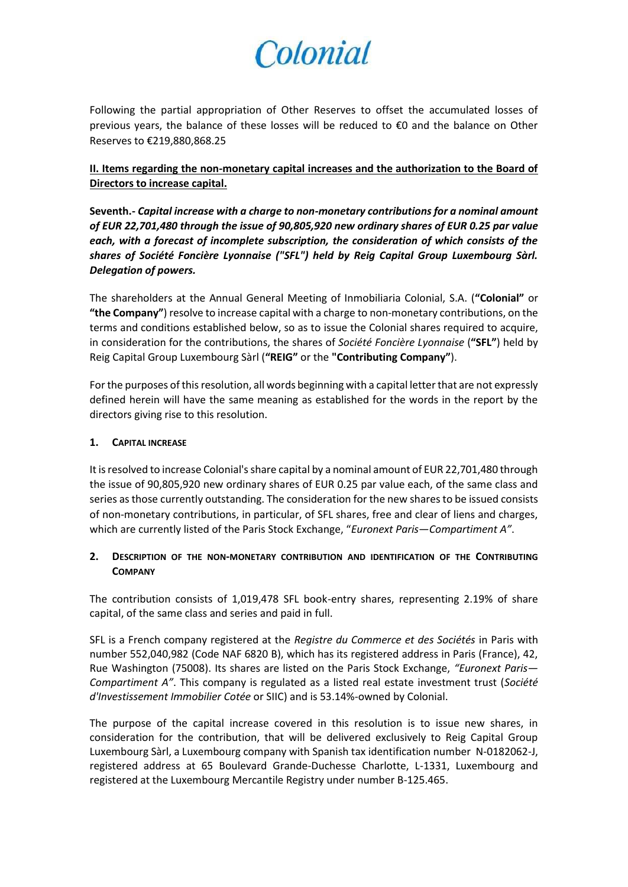Following the partial appropriation of Other Reserves to offset the accumulated losses of previous years, the balance of these losses will be reduced to €0 and the balance on Other Reserves to €219,880,868.25

**II. Items regarding the non-monetary capital increases and the authorization to the Board of Directors to increase capital.**

**Seventh.-** *Capital increase with a charge to non-monetary contributions for a nominal amount of EUR 22,701,480 through the issue of 90,805,920 new ordinary shares of EUR 0.25 par value each, with a forecast of incomplete subscription, the consideration of which consists of the shares of Société Foncière Lyonnaise ("SFL") held by Reig Capital Group Luxembourg Sàrl. Delegation of powers.*

The shareholders at the Annual General Meeting of Inmobiliaria Colonial, S.A. (**"Colonial"** or **"the Company"**) resolve to increase capital with a charge to non-monetary contributions, on the terms and conditions established below, so as to issue the Colonial shares required to acquire, in consideration for the contributions, the shares of *Société Foncière Lyonnaise* (**"SFL"**) held by Reig Capital Group Luxembourg Sàrl (**"REIG"** or the **"Contributing Company"**).

For the purposes of this resolution, all words beginning with a capital letter that are not expressly defined herein will have the same meaning as established for the words in the report by the directors giving rise to this resolution.

#### **1. CAPITAL INCREASE**

It is resolved to increase Colonial's share capital by a nominal amount of EUR 22,701,480 through the issue of 90,805,920 new ordinary shares of EUR 0.25 par value each, of the same class and series as those currently outstanding. The consideration for the new shares to be issued consists of non-monetary contributions, in particular, of SFL shares, free and clear of liens and charges, which are currently listed of the Paris Stock Exchange, "*Euronext Paris*—*Compartiment A"*.

### **2. DESCRIPTION OF THE NON-MONETARY CONTRIBUTION AND IDENTIFICATION OF THE CONTRIBUTING COMPANY**

The contribution consists of 1,019,478 SFL book-entry shares, representing 2.19% of share capital, of the same class and series and paid in full.

SFL is a French company registered at the *Registre du Commerce et des Sociétés* in Paris with number 552,040,982 (Code NAF 6820 B), which has its registered address in Paris (France), 42, Rue Washington (75008). Its shares are listed on the Paris Stock Exchange, *"Euronext Paris— Compartiment A"*. This company is regulated as a listed real estate investment trust (*Société d'Investissement Immobilier Cotée* or SIIC) and is 53.14%-owned by Colonial.

The purpose of the capital increase covered in this resolution is to issue new shares, in consideration for the contribution, that will be delivered exclusively to Reig Capital Group Luxembourg Sàrl, a Luxembourg company with Spanish tax identification number N-0182062-J, registered address at 65 Boulevard Grande-Duchesse Charlotte, L-1331, Luxembourg and registered at the Luxembourg Mercantile Registry under number B-125.465.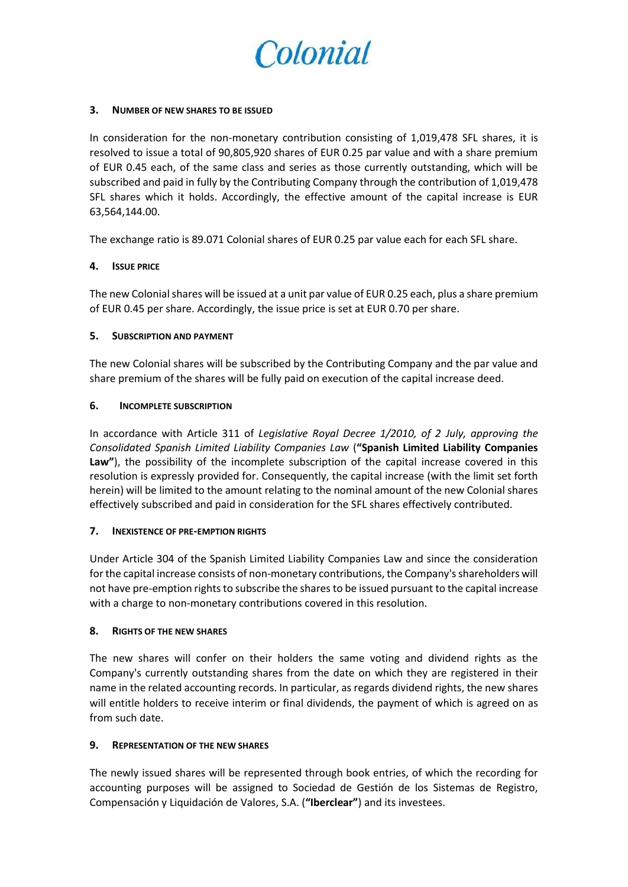

#### **3. NUMBER OF NEW SHARES TO BE ISSUED**

In consideration for the non-monetary contribution consisting of 1,019,478 SFL shares, it is resolved to issue a total of 90,805,920 shares of EUR 0.25 par value and with a share premium of EUR 0.45 each, of the same class and series as those currently outstanding, which will be subscribed and paid in fully by the Contributing Company through the contribution of 1,019,478 SFL shares which it holds. Accordingly, the effective amount of the capital increase is EUR 63,564,144.00.

The exchange ratio is 89.071 Colonial shares of EUR 0.25 par value each for each SFL share.

#### **4. ISSUE PRICE**

The new Colonial shares will be issued at a unit par value of EUR 0.25 each, plus a share premium of EUR 0.45 per share. Accordingly, the issue price is set at EUR 0.70 per share.

#### **5. SUBSCRIPTION AND PAYMENT**

The new Colonial shares will be subscribed by the Contributing Company and the par value and share premium of the shares will be fully paid on execution of the capital increase deed.

#### **6. INCOMPLETE SUBSCRIPTION**

In accordance with Article 311 of *Legislative Royal Decree 1/2010, of 2 July, approving the Consolidated Spanish Limited Liability Companies Law* (**"Spanish Limited Liability Companies**  Law"), the possibility of the incomplete subscription of the capital increase covered in this resolution is expressly provided for. Consequently, the capital increase (with the limit set forth herein) will be limited to the amount relating to the nominal amount of the new Colonial shares effectively subscribed and paid in consideration for the SFL shares effectively contributed.

#### **7. INEXISTENCE OF PRE-EMPTION RIGHTS**

Under Article 304 of the Spanish Limited Liability Companies Law and since the consideration for the capital increase consists of non-monetary contributions, the Company's shareholders will not have pre-emption rights to subscribe the shares to be issued pursuant to the capital increase with a charge to non-monetary contributions covered in this resolution.

#### **8. RIGHTS OF THE NEW SHARES**

The new shares will confer on their holders the same voting and dividend rights as the Company's currently outstanding shares from the date on which they are registered in their name in the related accounting records. In particular, as regards dividend rights, the new shares will entitle holders to receive interim or final dividends, the payment of which is agreed on as from such date.

#### **9. REPRESENTATION OF THE NEW SHARES**

The newly issued shares will be represented through book entries, of which the recording for accounting purposes will be assigned to Sociedad de Gestión de los Sistemas de Registro, Compensación y Liquidación de Valores, S.A. (**"Iberclear"**) and its investees.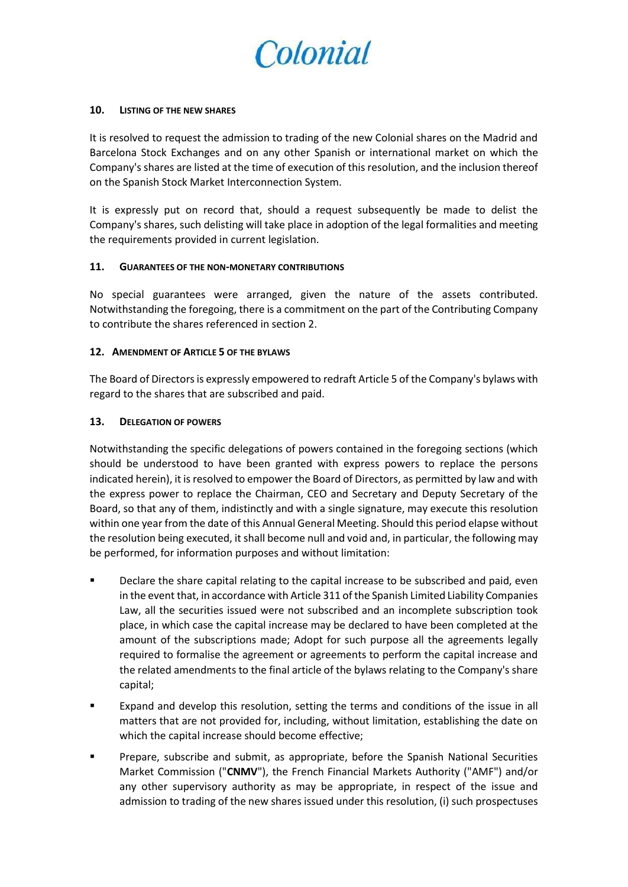

#### **10. LISTING OF THE NEW SHARES**

It is resolved to request the admission to trading of the new Colonial shares on the Madrid and Barcelona Stock Exchanges and on any other Spanish or international market on which the Company's shares are listed at the time of execution of this resolution, and the inclusion thereof on the Spanish Stock Market Interconnection System.

It is expressly put on record that, should a request subsequently be made to delist the Company's shares, such delisting will take place in adoption of the legal formalities and meeting the requirements provided in current legislation.

#### **11. GUARANTEES OF THE NON-MONETARY CONTRIBUTIONS**

No special guarantees were arranged, given the nature of the assets contributed. Notwithstanding the foregoing, there is a commitment on the part of the Contributing Company to contribute the shares referenced in section 2.

#### **12. AMENDMENT OF ARTICLE 5 OF THE BYLAWS**

The Board of Directors is expressly empowered to redraft Article 5 of the Company's bylaws with regard to the shares that are subscribed and paid.

#### **13. DELEGATION OF POWERS**

Notwithstanding the specific delegations of powers contained in the foregoing sections (which should be understood to have been granted with express powers to replace the persons indicated herein), it is resolved to empower the Board of Directors, as permitted by law and with the express power to replace the Chairman, CEO and Secretary and Deputy Secretary of the Board, so that any of them, indistinctly and with a single signature, may execute this resolution within one year from the date of this Annual General Meeting. Should this period elapse without the resolution being executed, it shall become null and void and, in particular, the following may be performed, for information purposes and without limitation:

- Declare the share capital relating to the capital increase to be subscribed and paid, even in the event that, in accordance with Article 311 of the Spanish Limited Liability Companies Law, all the securities issued were not subscribed and an incomplete subscription took place, in which case the capital increase may be declared to have been completed at the amount of the subscriptions made; Adopt for such purpose all the agreements legally required to formalise the agreement or agreements to perform the capital increase and the related amendments to the final article of the bylaws relating to the Company's share capital;
- Expand and develop this resolution, setting the terms and conditions of the issue in all matters that are not provided for, including, without limitation, establishing the date on which the capital increase should become effective;
- Prepare, subscribe and submit, as appropriate, before the Spanish National Securities Market Commission ("**CNMV**"), the French Financial Markets Authority ("AMF") and/or any other supervisory authority as may be appropriate, in respect of the issue and admission to trading of the new shares issued under this resolution, (i) such prospectuses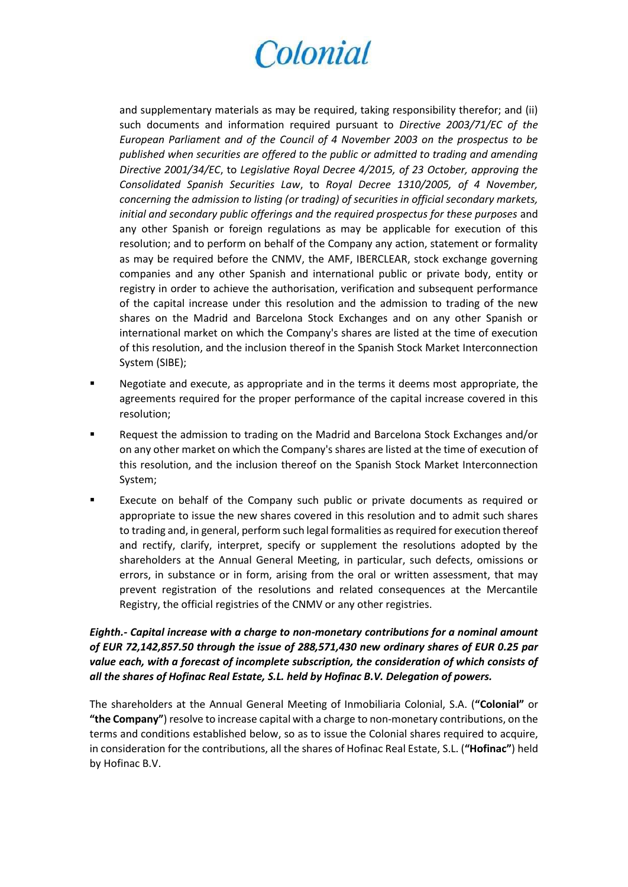and supplementary materials as may be required, taking responsibility therefor; and (ii) such documents and information required pursuant to *Directive 2003/71/EC of the European Parliament and of the Council of 4 November 2003 on the prospectus to be published when securities are offered to the public or admitted to trading and amending Directive 2001/34/EC*, to *Legislative Royal Decree 4/2015, of 23 October, approving the Consolidated Spanish Securities Law*, to *Royal Decree 1310/2005, of 4 November, concerning the admission to listing (or trading) of securities in official secondary markets, initial and secondary public offerings and the required prospectus for these purposes* and any other Spanish or foreign regulations as may be applicable for execution of this resolution; and to perform on behalf of the Company any action, statement or formality as may be required before the CNMV, the AMF, IBERCLEAR, stock exchange governing companies and any other Spanish and international public or private body, entity or registry in order to achieve the authorisation, verification and subsequent performance of the capital increase under this resolution and the admission to trading of the new shares on the Madrid and Barcelona Stock Exchanges and on any other Spanish or international market on which the Company's shares are listed at the time of execution of this resolution, and the inclusion thereof in the Spanish Stock Market Interconnection System (SIBE);

- **Negotiate and execute, as appropriate and in the terms it deems most appropriate, the** agreements required for the proper performance of the capital increase covered in this resolution;
- Request the admission to trading on the Madrid and Barcelona Stock Exchanges and/or on any other market on which the Company's shares are listed at the time of execution of this resolution, and the inclusion thereof on the Spanish Stock Market Interconnection System;
- Execute on behalf of the Company such public or private documents as required or appropriate to issue the new shares covered in this resolution and to admit such shares to trading and, in general, perform such legal formalities as required for execution thereof and rectify, clarify, interpret, specify or supplement the resolutions adopted by the shareholders at the Annual General Meeting, in particular, such defects, omissions or errors, in substance or in form, arising from the oral or written assessment, that may prevent registration of the resolutions and related consequences at the Mercantile Registry, the official registries of the CNMV or any other registries.

## *Eighth.- Capital increase with a charge to non-monetary contributions for a nominal amount of EUR 72,142,857.50 through the issue of 288,571,430 new ordinary shares of EUR 0.25 par value each, with a forecast of incomplete subscription, the consideration of which consists of all the shares of Hofinac Real Estate, S.L. held by Hofinac B.V. Delegation of powers.*

The shareholders at the Annual General Meeting of Inmobiliaria Colonial, S.A. (**"Colonial"** or **"the Company"**) resolve to increase capital with a charge to non-monetary contributions, on the terms and conditions established below, so as to issue the Colonial shares required to acquire, in consideration for the contributions, all the shares of Hofinac Real Estate, S.L. (**"Hofinac"**) held by Hofinac B.V.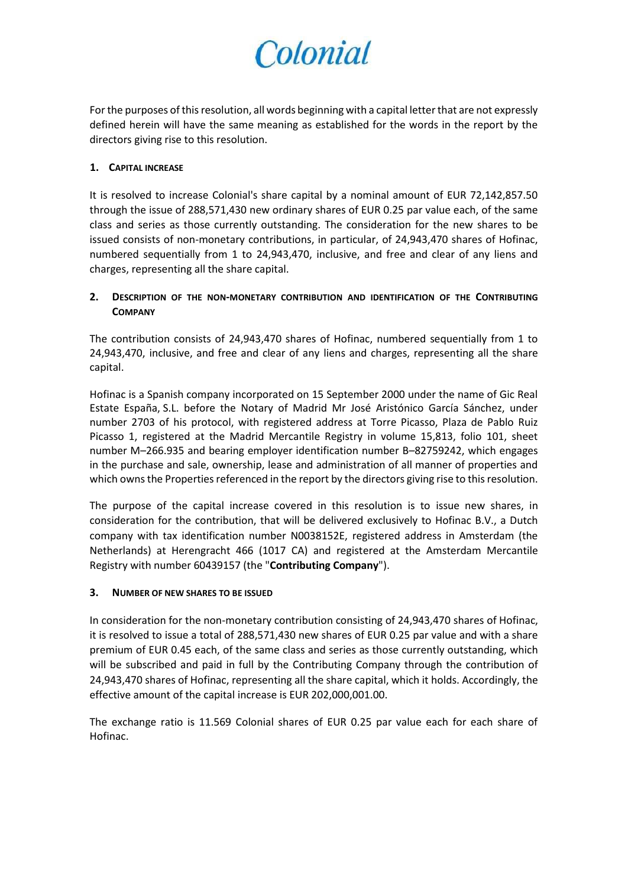For the purposes of this resolution, all words beginning with a capital letter that are not expressly defined herein will have the same meaning as established for the words in the report by the directors giving rise to this resolution.

### **1. CAPITAL INCREASE**

It is resolved to increase Colonial's share capital by a nominal amount of EUR 72,142,857.50 through the issue of 288,571,430 new ordinary shares of EUR 0.25 par value each, of the same class and series as those currently outstanding. The consideration for the new shares to be issued consists of non-monetary contributions, in particular, of 24,943,470 shares of Hofinac, numbered sequentially from 1 to 24,943,470, inclusive, and free and clear of any liens and charges, representing all the share capital.

## **2. DESCRIPTION OF THE NON-MONETARY CONTRIBUTION AND IDENTIFICATION OF THE CONTRIBUTING COMPANY**

The contribution consists of 24,943,470 shares of Hofinac, numbered sequentially from 1 to 24,943,470, inclusive, and free and clear of any liens and charges, representing all the share capital.

Hofinac is a Spanish company incorporated on 15 September 2000 under the name of Gic Real Estate España, S.L. before the Notary of Madrid Mr José Aristónico García Sánchez, under number 2703 of his protocol, with registered address at Torre Picasso, Plaza de Pablo Ruiz Picasso 1, registered at the Madrid Mercantile Registry in volume 15,813, folio 101, sheet number M–266.935 and bearing employer identification number B–82759242, which engages in the purchase and sale, ownership, lease and administration of all manner of properties and which owns the Properties referenced in the report by the directors giving rise to this resolution.

The purpose of the capital increase covered in this resolution is to issue new shares, in consideration for the contribution, that will be delivered exclusively to Hofinac B.V., a Dutch company with tax identification number N0038152E, registered address in Amsterdam (the Netherlands) at Herengracht 466 (1017 CA) and registered at the Amsterdam Mercantile Registry with number 60439157 (the "**Contributing Company**").

### **3. NUMBER OF NEW SHARES TO BE ISSUED**

In consideration for the non-monetary contribution consisting of 24,943,470 shares of Hofinac, it is resolved to issue a total of 288,571,430 new shares of EUR 0.25 par value and with a share premium of EUR 0.45 each, of the same class and series as those currently outstanding, which will be subscribed and paid in full by the Contributing Company through the contribution of 24,943,470 shares of Hofinac, representing all the share capital, which it holds. Accordingly, the effective amount of the capital increase is EUR 202,000,001.00.

The exchange ratio is 11.569 Colonial shares of EUR 0.25 par value each for each share of Hofinac.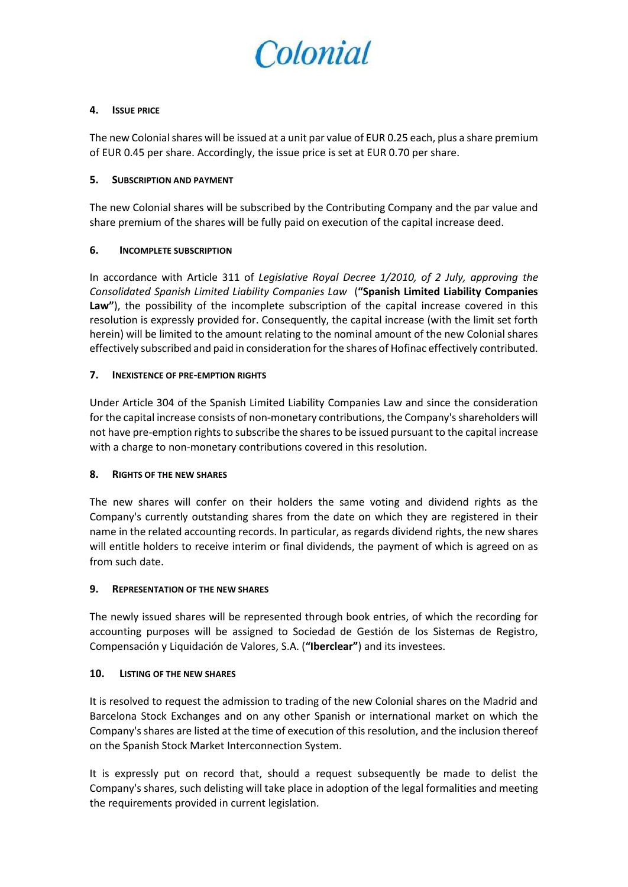

#### **4. ISSUE PRICE**

The new Colonial shares will be issued at a unit par value of EUR 0.25 each, plus a share premium of EUR 0.45 per share. Accordingly, the issue price is set at EUR 0.70 per share.

#### **5. SUBSCRIPTION AND PAYMENT**

The new Colonial shares will be subscribed by the Contributing Company and the par value and share premium of the shares will be fully paid on execution of the capital increase deed.

#### **6. INCOMPLETE SUBSCRIPTION**

In accordance with Article 311 of *Legislative Royal Decree 1/2010, of 2 July, approving the Consolidated Spanish Limited Liability Companies Law* (**"Spanish Limited Liability Companies Law"**), the possibility of the incomplete subscription of the capital increase covered in this resolution is expressly provided for. Consequently, the capital increase (with the limit set forth herein) will be limited to the amount relating to the nominal amount of the new Colonial shares effectively subscribed and paid in consideration for the shares of Hofinac effectively contributed.

#### **7. INEXISTENCE OF PRE-EMPTION RIGHTS**

Under Article 304 of the Spanish Limited Liability Companies Law and since the consideration for the capital increase consists of non-monetary contributions, the Company's shareholders will not have pre-emption rights to subscribe the shares to be issued pursuant to the capital increase with a charge to non-monetary contributions covered in this resolution.

#### **8. RIGHTS OF THE NEW SHARES**

The new shares will confer on their holders the same voting and dividend rights as the Company's currently outstanding shares from the date on which they are registered in their name in the related accounting records. In particular, as regards dividend rights, the new shares will entitle holders to receive interim or final dividends, the payment of which is agreed on as from such date.

#### **9. REPRESENTATION OF THE NEW SHARES**

The newly issued shares will be represented through book entries, of which the recording for accounting purposes will be assigned to Sociedad de Gestión de los Sistemas de Registro, Compensación y Liquidación de Valores, S.A. (**"Iberclear"**) and its investees.

#### **10. LISTING OF THE NEW SHARES**

It is resolved to request the admission to trading of the new Colonial shares on the Madrid and Barcelona Stock Exchanges and on any other Spanish or international market on which the Company's shares are listed at the time of execution of this resolution, and the inclusion thereof on the Spanish Stock Market Interconnection System.

It is expressly put on record that, should a request subsequently be made to delist the Company's shares, such delisting will take place in adoption of the legal formalities and meeting the requirements provided in current legislation.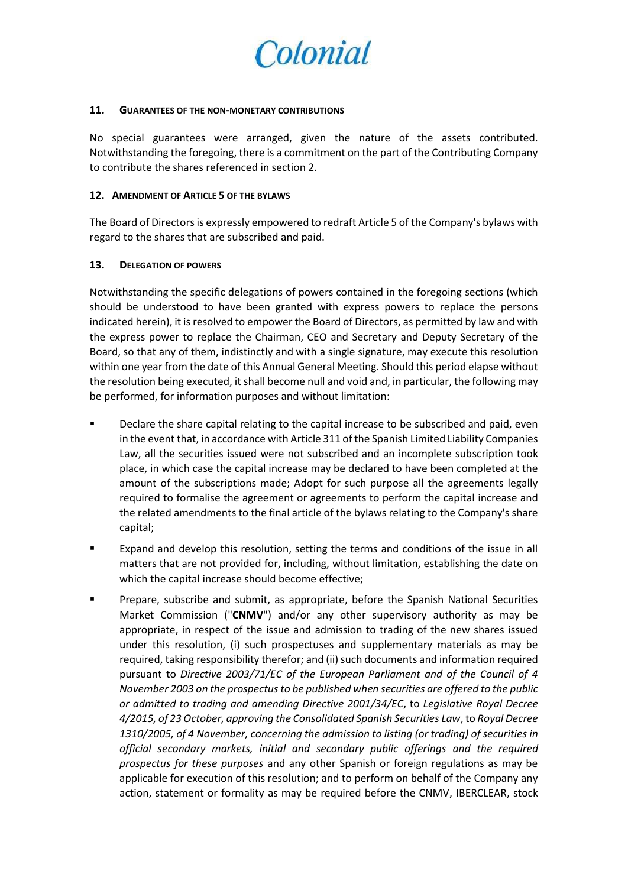

#### **11. GUARANTEES OF THE NON-MONETARY CONTRIBUTIONS**

No special guarantees were arranged, given the nature of the assets contributed. Notwithstanding the foregoing, there is a commitment on the part of the Contributing Company to contribute the shares referenced in section 2.

#### **12. AMENDMENT OF ARTICLE 5 OF THE BYLAWS**

The Board of Directors is expressly empowered to redraft Article 5 of the Company's bylaws with regard to the shares that are subscribed and paid.

#### **13. DELEGATION OF POWERS**

Notwithstanding the specific delegations of powers contained in the foregoing sections (which should be understood to have been granted with express powers to replace the persons indicated herein), it is resolved to empower the Board of Directors, as permitted by law and with the express power to replace the Chairman, CEO and Secretary and Deputy Secretary of the Board, so that any of them, indistinctly and with a single signature, may execute this resolution within one year from the date of this Annual General Meeting. Should this period elapse without the resolution being executed, it shall become null and void and, in particular, the following may be performed, for information purposes and without limitation:

- Declare the share capital relating to the capital increase to be subscribed and paid, even in the event that, in accordance with Article 311 of the Spanish Limited Liability Companies Law, all the securities issued were not subscribed and an incomplete subscription took place, in which case the capital increase may be declared to have been completed at the amount of the subscriptions made; Adopt for such purpose all the agreements legally required to formalise the agreement or agreements to perform the capital increase and the related amendments to the final article of the bylaws relating to the Company's share capital;
- Expand and develop this resolution, setting the terms and conditions of the issue in all matters that are not provided for, including, without limitation, establishing the date on which the capital increase should become effective;
- **Prepare, subscribe and submit, as appropriate, before the Spanish National Securities** Market Commission ("**CNMV**") and/or any other supervisory authority as may be appropriate, in respect of the issue and admission to trading of the new shares issued under this resolution, (i) such prospectuses and supplementary materials as may be required, taking responsibility therefor; and (ii) such documents and information required pursuant to *Directive 2003/71/EC of the European Parliament and of the Council of 4 November 2003 on the prospectus to be published when securities are offered to the public or admitted to trading and amending Directive 2001/34/EC*, to *Legislative Royal Decree 4/2015, of 23 October, approving the Consolidated Spanish Securities Law*, to *Royal Decree 1310/2005, of 4 November, concerning the admission to listing (or trading) of securities in official secondary markets, initial and secondary public offerings and the required prospectus for these purposes* and any other Spanish or foreign regulations as may be applicable for execution of this resolution; and to perform on behalf of the Company any action, statement or formality as may be required before the CNMV, IBERCLEAR, stock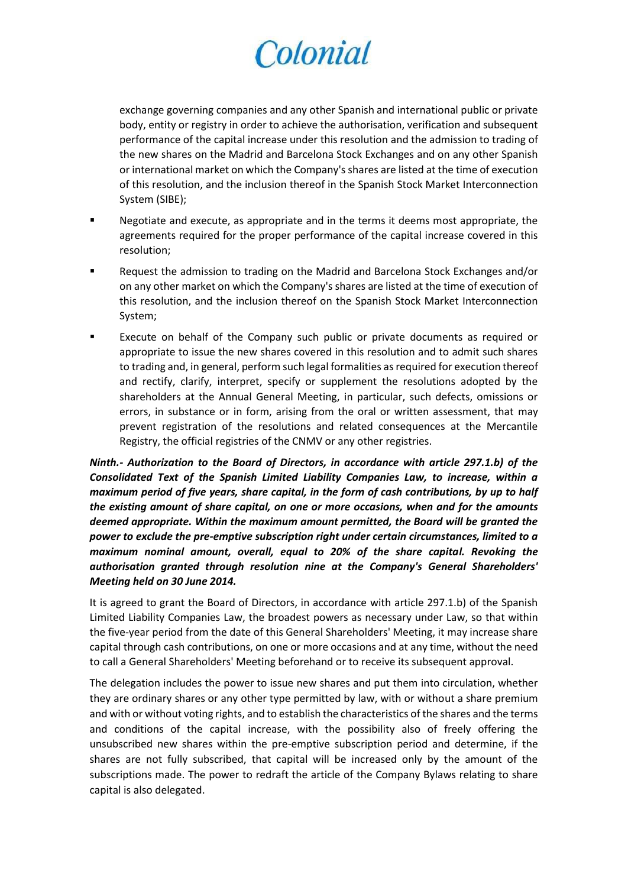exchange governing companies and any other Spanish and international public or private body, entity or registry in order to achieve the authorisation, verification and subsequent performance of the capital increase under this resolution and the admission to trading of the new shares on the Madrid and Barcelona Stock Exchanges and on any other Spanish or international market on which the Company's shares are listed at the time of execution of this resolution, and the inclusion thereof in the Spanish Stock Market Interconnection System (SIBE);

- **Negotiate and execute, as appropriate and in the terms it deems most appropriate, the** agreements required for the proper performance of the capital increase covered in this resolution;
- Request the admission to trading on the Madrid and Barcelona Stock Exchanges and/or on any other market on which the Company's shares are listed at the time of execution of this resolution, and the inclusion thereof on the Spanish Stock Market Interconnection System;
- Execute on behalf of the Company such public or private documents as required or appropriate to issue the new shares covered in this resolution and to admit such shares to trading and, in general, perform such legal formalities as required for execution thereof and rectify, clarify, interpret, specify or supplement the resolutions adopted by the shareholders at the Annual General Meeting, in particular, such defects, omissions or errors, in substance or in form, arising from the oral or written assessment, that may prevent registration of the resolutions and related consequences at the Mercantile Registry, the official registries of the CNMV or any other registries.

*Ninth.- Authorization to the Board of Directors, in accordance with article 297.1.b) of the Consolidated Text of the Spanish Limited Liability Companies Law, to increase, within a maximum period of five years, share capital, in the form of cash contributions, by up to half the existing amount of share capital, on one or more occasions, when and for the amounts deemed appropriate. Within the maximum amount permitted, the Board will be granted the power to exclude the pre-emptive subscription right under certain circumstances, limited to a maximum nominal amount, overall, equal to 20% of the share capital. Revoking the authorisation granted through resolution nine at the Company's General Shareholders' Meeting held on 30 June 2014.*

It is agreed to grant the Board of Directors, in accordance with article 297.1.b) of the Spanish Limited Liability Companies Law, the broadest powers as necessary under Law, so that within the five-year period from the date of this General Shareholders' Meeting, it may increase share capital through cash contributions, on one or more occasions and at any time, without the need to call a General Shareholders' Meeting beforehand or to receive its subsequent approval.

The delegation includes the power to issue new shares and put them into circulation, whether they are ordinary shares or any other type permitted by law, with or without a share premium and with or without voting rights, and to establish the characteristics of the shares and the terms and conditions of the capital increase, with the possibility also of freely offering the unsubscribed new shares within the pre-emptive subscription period and determine, if the shares are not fully subscribed, that capital will be increased only by the amount of the subscriptions made. The power to redraft the article of the Company Bylaws relating to share capital is also delegated.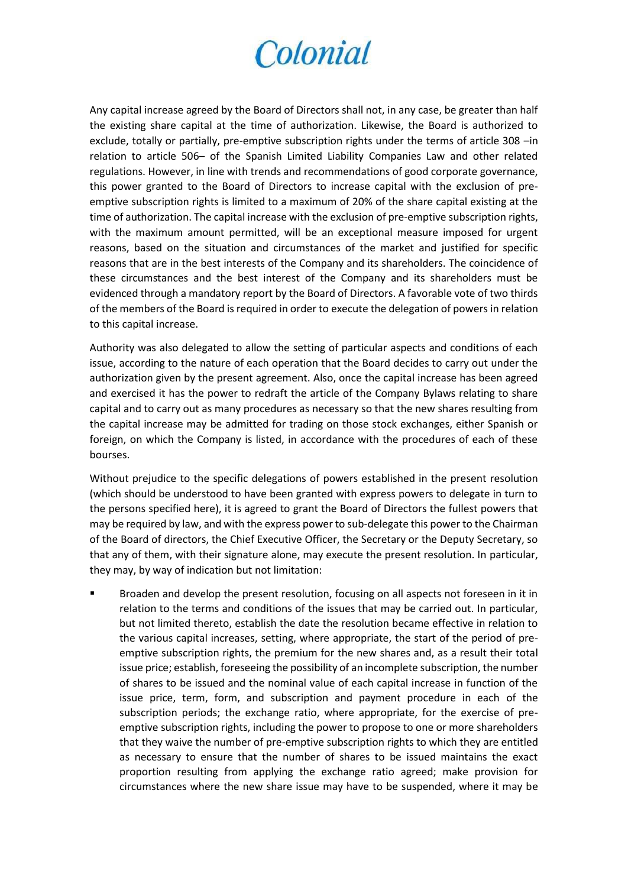Any capital increase agreed by the Board of Directors shall not, in any case, be greater than half the existing share capital at the time of authorization. Likewise, the Board is authorized to exclude, totally or partially, pre-emptive subscription rights under the terms of article 308 –in relation to article 506– of the Spanish Limited Liability Companies Law and other related regulations. However, in line with trends and recommendations of good corporate governance, this power granted to the Board of Directors to increase capital with the exclusion of preemptive subscription rights is limited to a maximum of 20% of the share capital existing at the time of authorization. The capital increase with the exclusion of pre-emptive subscription rights, with the maximum amount permitted, will be an exceptional measure imposed for urgent reasons, based on the situation and circumstances of the market and justified for specific reasons that are in the best interests of the Company and its shareholders. The coincidence of these circumstances and the best interest of the Company and its shareholders must be evidenced through a mandatory report by the Board of Directors. A favorable vote of two thirds of the members of the Board is required in order to execute the delegation of powers in relation to this capital increase.

Authority was also delegated to allow the setting of particular aspects and conditions of each issue, according to the nature of each operation that the Board decides to carry out under the authorization given by the present agreement. Also, once the capital increase has been agreed and exercised it has the power to redraft the article of the Company Bylaws relating to share capital and to carry out as many procedures as necessary so that the new shares resulting from the capital increase may be admitted for trading on those stock exchanges, either Spanish or foreign, on which the Company is listed, in accordance with the procedures of each of these bourses.

Without prejudice to the specific delegations of powers established in the present resolution (which should be understood to have been granted with express powers to delegate in turn to the persons specified here), it is agreed to grant the Board of Directors the fullest powers that may be required by law, and with the express power to sub-delegate this power to the Chairman of the Board of directors, the Chief Executive Officer, the Secretary or the Deputy Secretary, so that any of them, with their signature alone, may execute the present resolution. In particular, they may, by way of indication but not limitation:

 Broaden and develop the present resolution, focusing on all aspects not foreseen in it in relation to the terms and conditions of the issues that may be carried out. In particular, but not limited thereto, establish the date the resolution became effective in relation to the various capital increases, setting, where appropriate, the start of the period of preemptive subscription rights, the premium for the new shares and, as a result their total issue price; establish, foreseeing the possibility of an incomplete subscription, the number of shares to be issued and the nominal value of each capital increase in function of the issue price, term, form, and subscription and payment procedure in each of the subscription periods; the exchange ratio, where appropriate, for the exercise of preemptive subscription rights, including the power to propose to one or more shareholders that they waive the number of pre-emptive subscription rights to which they are entitled as necessary to ensure that the number of shares to be issued maintains the exact proportion resulting from applying the exchange ratio agreed; make provision for circumstances where the new share issue may have to be suspended, where it may be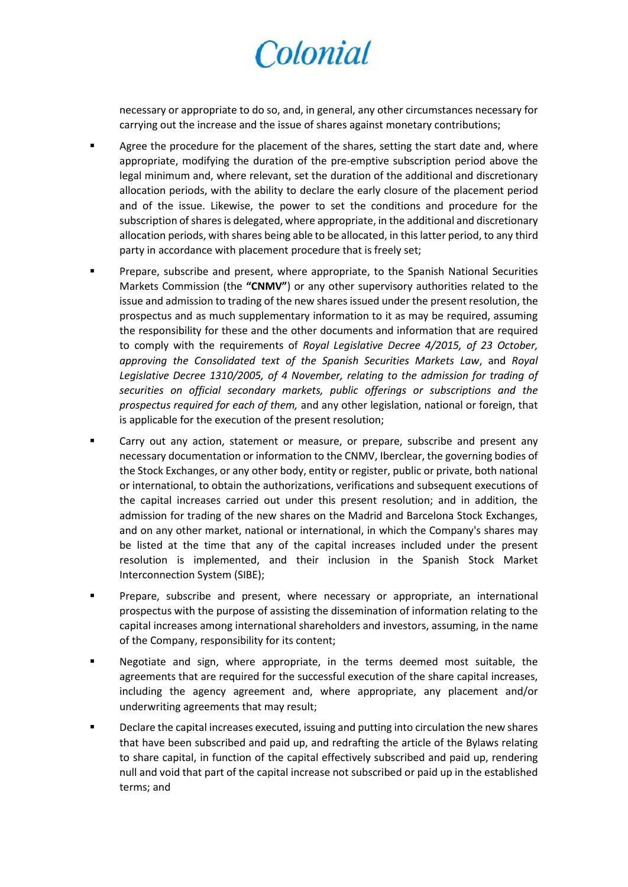necessary or appropriate to do so, and, in general, any other circumstances necessary for carrying out the increase and the issue of shares against monetary contributions;

- Agree the procedure for the placement of the shares, setting the start date and, where appropriate, modifying the duration of the pre-emptive subscription period above the legal minimum and, where relevant, set the duration of the additional and discretionary allocation periods, with the ability to declare the early closure of the placement period and of the issue. Likewise, the power to set the conditions and procedure for the subscription of shares is delegated, where appropriate, in the additional and discretionary allocation periods, with shares being able to be allocated, in this latter period, to any third party in accordance with placement procedure that is freely set;
- Prepare, subscribe and present, where appropriate, to the Spanish National Securities Markets Commission (the **"CNMV"**) or any other supervisory authorities related to the issue and admission to trading of the new shares issued under the present resolution, the prospectus and as much supplementary information to it as may be required, assuming the responsibility for these and the other documents and information that are required to comply with the requirements of *Royal Legislative Decree 4/2015, of 23 October, approving the Consolidated text of the Spanish Securities Markets Law*, and *Royal Legislative Decree 1310/2005, of 4 November, relating to the admission for trading of securities on official secondary markets, public offerings or subscriptions and the prospectus required for each of them,* and any other legislation, national or foreign, that is applicable for the execution of the present resolution;
- Carry out any action, statement or measure, or prepare, subscribe and present any necessary documentation or information to the CNMV, Iberclear, the governing bodies of the Stock Exchanges, or any other body, entity or register, public or private, both national or international, to obtain the authorizations, verifications and subsequent executions of the capital increases carried out under this present resolution; and in addition, the admission for trading of the new shares on the Madrid and Barcelona Stock Exchanges, and on any other market, national or international, in which the Company's shares may be listed at the time that any of the capital increases included under the present resolution is implemented, and their inclusion in the Spanish Stock Market Interconnection System (SIBE);
- **Prepare, subscribe and present, where necessary or appropriate, an international** prospectus with the purpose of assisting the dissemination of information relating to the capital increases among international shareholders and investors, assuming, in the name of the Company, responsibility for its content;
- Negotiate and sign, where appropriate, in the terms deemed most suitable, the agreements that are required for the successful execution of the share capital increases, including the agency agreement and, where appropriate, any placement and/or underwriting agreements that may result;
- Declare the capital increases executed, issuing and putting into circulation the new shares that have been subscribed and paid up, and redrafting the article of the Bylaws relating to share capital, in function of the capital effectively subscribed and paid up, rendering null and void that part of the capital increase not subscribed or paid up in the established terms; and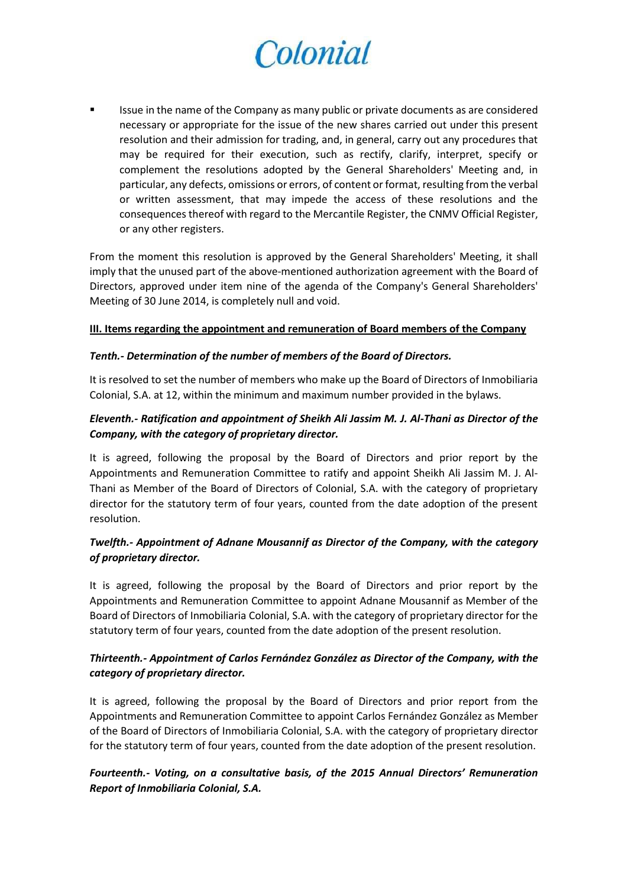Issue in the name of the Company as many public or private documents as are considered necessary or appropriate for the issue of the new shares carried out under this present resolution and their admission for trading, and, in general, carry out any procedures that may be required for their execution, such as rectify, clarify, interpret, specify or complement the resolutions adopted by the General Shareholders' Meeting and, in particular, any defects, omissions or errors, of content or format, resulting from the verbal or written assessment, that may impede the access of these resolutions and the consequences thereof with regard to the Mercantile Register, the CNMV Official Register, or any other registers.

From the moment this resolution is approved by the General Shareholders' Meeting, it shall imply that the unused part of the above-mentioned authorization agreement with the Board of Directors, approved under item nine of the agenda of the Company's General Shareholders' Meeting of 30 June 2014, is completely null and void.

#### **III. Items regarding the appointment and remuneration of Board members of the Company**

#### *Tenth.- Determination of the number of members of the Board of Directors.*

It is resolved to set the number of members who make up the Board of Directors of Inmobiliaria Colonial, S.A. at 12, within the minimum and maximum number provided in the bylaws.

## *Eleventh.- Ratification and appointment of Sheikh Ali Jassim M. J. Al-Thani as Director of the Company, with the category of proprietary director.*

It is agreed, following the proposal by the Board of Directors and prior report by the Appointments and Remuneration Committee to ratify and appoint Sheikh Ali Jassim M. J. Al-Thani as Member of the Board of Directors of Colonial, S.A. with the category of proprietary director for the statutory term of four years, counted from the date adoption of the present resolution.

## *Twelfth.- Appointment of Adnane Mousannif as Director of the Company, with the category of proprietary director.*

It is agreed, following the proposal by the Board of Directors and prior report by the Appointments and Remuneration Committee to appoint Adnane Mousannif as Member of the Board of Directors of Inmobiliaria Colonial, S.A. with the category of proprietary director for the statutory term of four years, counted from the date adoption of the present resolution.

### *Thirteenth.- Appointment of Carlos Fernández González as Director of the Company, with the category of proprietary director.*

It is agreed, following the proposal by the Board of Directors and prior report from the Appointments and Remuneration Committee to appoint Carlos Fernández González as Member of the Board of Directors of Inmobiliaria Colonial, S.A. with the category of proprietary director for the statutory term of four years, counted from the date adoption of the present resolution.

## *Fourteenth.- Voting, on a consultative basis, of the 2015 Annual Directors' Remuneration Report of Inmobiliaria Colonial, S.A.*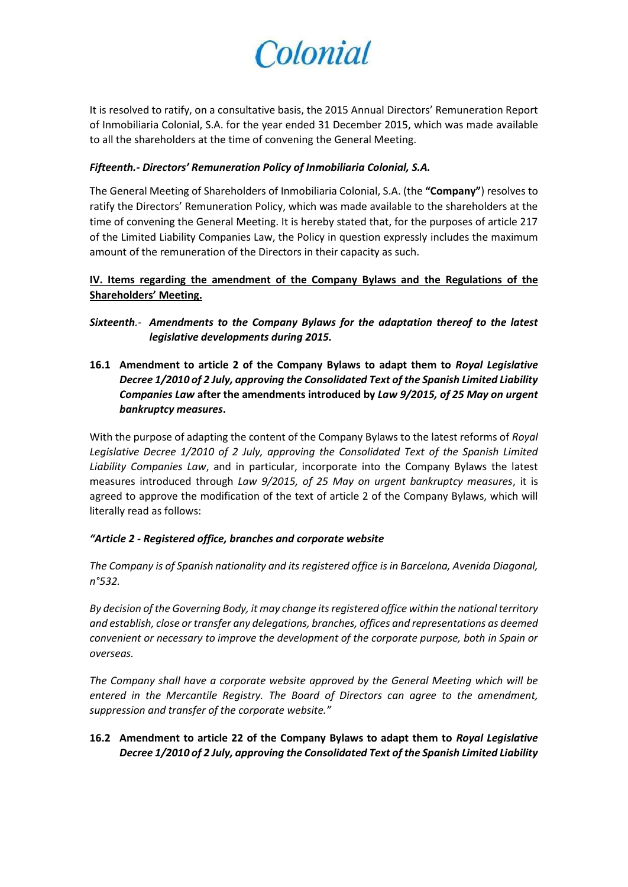

It is resolved to ratify, on a consultative basis, the 2015 Annual Directors' Remuneration Report of Inmobiliaria Colonial, S.A. for the year ended 31 December 2015, which was made available to all the shareholders at the time of convening the General Meeting.

### *Fifteenth.- Directors' Remuneration Policy of Inmobiliaria Colonial, S.A.*

The General Meeting of Shareholders of Inmobiliaria Colonial, S.A. (the **"Company"**) resolves to ratify the Directors' Remuneration Policy, which was made available to the shareholders at the time of convening the General Meeting. It is hereby stated that, for the purposes of article 217 of the Limited Liability Companies Law, the Policy in question expressly includes the maximum amount of the remuneration of the Directors in their capacity as such.

**IV. Items regarding the amendment of the Company Bylaws and the Regulations of the Shareholders' Meeting.**

*Sixteenth.- Amendments to the Company Bylaws for the adaptation thereof to the latest legislative developments during 2015.*

**16.1 Amendment to article 2 of the Company Bylaws to adapt them to** *Royal Legislative Decree 1/2010 of 2 July, approving the Consolidated Text of the Spanish Limited Liability Companies Law* **after the amendments introduced by** *Law 9/2015, of 25 May on urgent bankruptcy measures***.** 

With the purpose of adapting the content of the Company Bylaws to the latest reforms of *Royal*  Legislative Decree 1/2010 of 2 July, approving the Consolidated Text of the Spanish Limited *Liability Companies Law*, and in particular, incorporate into the Company Bylaws the latest measures introduced through *Law 9/2015, of 25 May on urgent bankruptcy measures*, it is agreed to approve the modification of the text of article 2 of the Company Bylaws, which will literally read as follows:

### *"Article 2 - Registered office, branches and corporate website*

*The Company is of Spanish nationality and its registered office is in Barcelona, Avenida Diagonal, n°532.*

*By decision of the Governing Body, it may change its registered office within the national territory and establish, close or transfer any delegations, branches, offices and representations as deemed convenient or necessary to improve the development of the corporate purpose, both in Spain or overseas.*

*The Company shall have a corporate website approved by the General Meeting which will be entered in the Mercantile Registry. The Board of Directors can agree to the amendment, suppression and transfer of the corporate website."*

### **16.2 Amendment to article 22 of the Company Bylaws to adapt them to** *Royal Legislative Decree 1/2010 of 2 July, approving the Consolidated Text of the Spanish Limited Liability*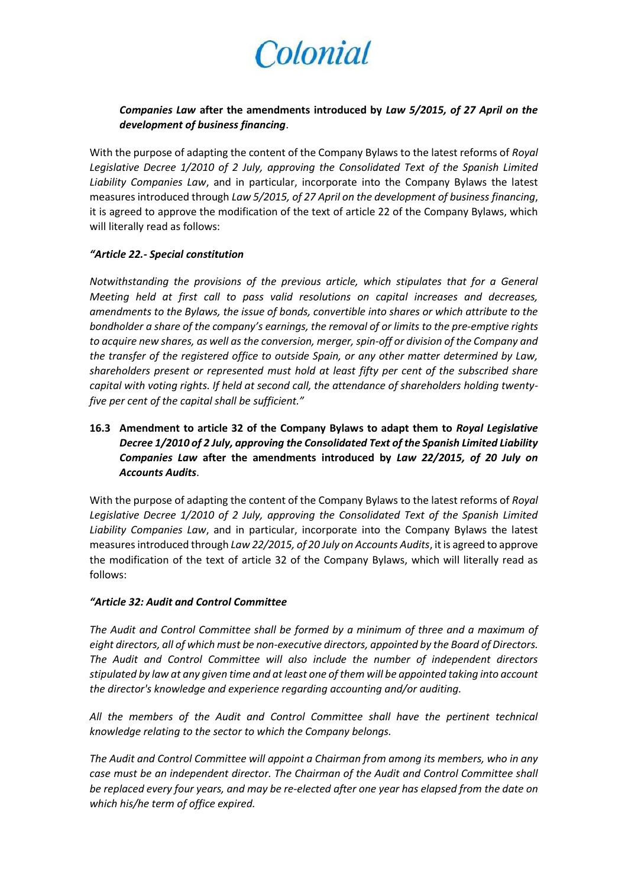## *Companies Law* **after the amendments introduced by** *Law 5/2015, of 27 April on the development of business financing*.

With the purpose of adapting the content of the Company Bylaws to the latest reforms of *Royal*  Legislative Decree 1/2010 of 2 July, approving the Consolidated Text of the Spanish Limited *Liability Companies Law*, and in particular, incorporate into the Company Bylaws the latest measures introduced through *Law 5/2015, of 27 April on the development of business financing*, it is agreed to approve the modification of the text of article 22 of the Company Bylaws, which will literally read as follows:

#### *"Article 22.- Special constitution*

*Notwithstanding the provisions of the previous article, which stipulates that for a General Meeting held at first call to pass valid resolutions on capital increases and decreases, amendments to the Bylaws, the issue of bonds, convertible into shares or which attribute to the bondholder a share of the company's earnings, the removal of or limits to the pre-emptive rights to acquire new shares, as well as the conversion, merger, spin-off or division of the Company and the transfer of the registered office to outside Spain, or any other matter determined by Law, shareholders present or represented must hold at least fifty per cent of the subscribed share capital with voting rights. If held at second call, the attendance of shareholders holding twentyfive per cent of the capital shall be sufficient."*

## **16.3 Amendment to article 32 of the Company Bylaws to adapt them to** *Royal Legislative Decree 1/2010 of 2 July, approving the Consolidated Text of the Spanish Limited Liability Companies Law* **after the amendments introduced by** *Law 22/2015, of 20 July on Accounts Audits*.

With the purpose of adapting the content of the Company Bylaws to the latest reforms of *Royal Legislative Decree 1/2010 of 2 July, approving the Consolidated Text of the Spanish Limited Liability Companies Law*, and in particular, incorporate into the Company Bylaws the latest measures introduced through *Law 22/2015, of 20 July on Accounts Audits*, it is agreed to approve the modification of the text of article 32 of the Company Bylaws, which will literally read as follows:

#### *"Article 32: Audit and Control Committee*

*The Audit and Control Committee shall be formed by a minimum of three and a maximum of eight directors, all of which must be non-executive directors, appointed by the Board of Directors. The Audit and Control Committee will also include the number of independent directors stipulated by law at any given time and at least one of them will be appointed taking into account the director's knowledge and experience regarding accounting and/or auditing.*

*All the members of the Audit and Control Committee shall have the pertinent technical knowledge relating to the sector to which the Company belongs.*

*The Audit and Control Committee will appoint a Chairman from among its members, who in any case must be an independent director. The Chairman of the Audit and Control Committee shall be replaced every four years, and may be re-elected after one year has elapsed from the date on which his/he term of office expired.*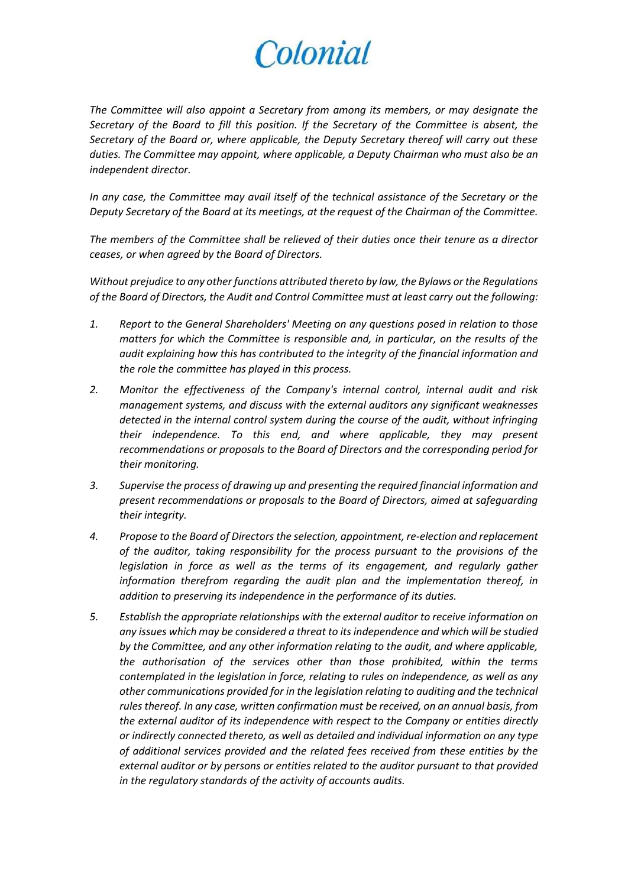*The Committee will also appoint a Secretary from among its members, or may designate the Secretary of the Board to fill this position. If the Secretary of the Committee is absent, the Secretary of the Board or, where applicable, the Deputy Secretary thereof will carry out these duties. The Committee may appoint, where applicable, a Deputy Chairman who must also be an independent director.*

*In any case, the Committee may avail itself of the technical assistance of the Secretary or the Deputy Secretary of the Board at its meetings, at the request of the Chairman of the Committee.*

*The members of the Committee shall be relieved of their duties once their tenure as a director ceases, or when agreed by the Board of Directors.*

*Without prejudice to any other functions attributed thereto by law, the Bylaws or the Regulations of the Board of Directors, the Audit and Control Committee must at least carry out the following:*

- *1. Report to the General Shareholders' Meeting on any questions posed in relation to those matters for which the Committee is responsible and, in particular, on the results of the audit explaining how this has contributed to the integrity of the financial information and the role the committee has played in this process.*
- *2. Monitor the effectiveness of the Company's internal control, internal audit and risk management systems, and discuss with the external auditors any significant weaknesses detected in the internal control system during the course of the audit, without infringing their independence. To this end, and where applicable, they may present recommendations or proposals to the Board of Directors and the corresponding period for their monitoring.*
- *3. Supervise the process of drawing up and presenting the required financial information and present recommendations or proposals to the Board of Directors, aimed at safeguarding their integrity.*
- *4. Propose to the Board of Directors the selection, appointment, re-election and replacement of the auditor, taking responsibility for the process pursuant to the provisions of the legislation in force as well as the terms of its engagement, and regularly gather information therefrom regarding the audit plan and the implementation thereof, in addition to preserving its independence in the performance of its duties.*
- *5. Establish the appropriate relationships with the external auditor to receive information on any issues which may be considered a threat to its independence and which will be studied by the Committee, and any other information relating to the audit, and where applicable, the authorisation of the services other than those prohibited, within the terms contemplated in the legislation in force, relating to rules on independence, as well as any other communications provided for in the legislation relating to auditing and the technical rules thereof. In any case, written confirmation must be received, on an annual basis, from the external auditor of its independence with respect to the Company or entities directly or indirectly connected thereto, as well as detailed and individual information on any type of additional services provided and the related fees received from these entities by the external auditor or by persons or entities related to the auditor pursuant to that provided in the regulatory standards of the activity of accounts audits.*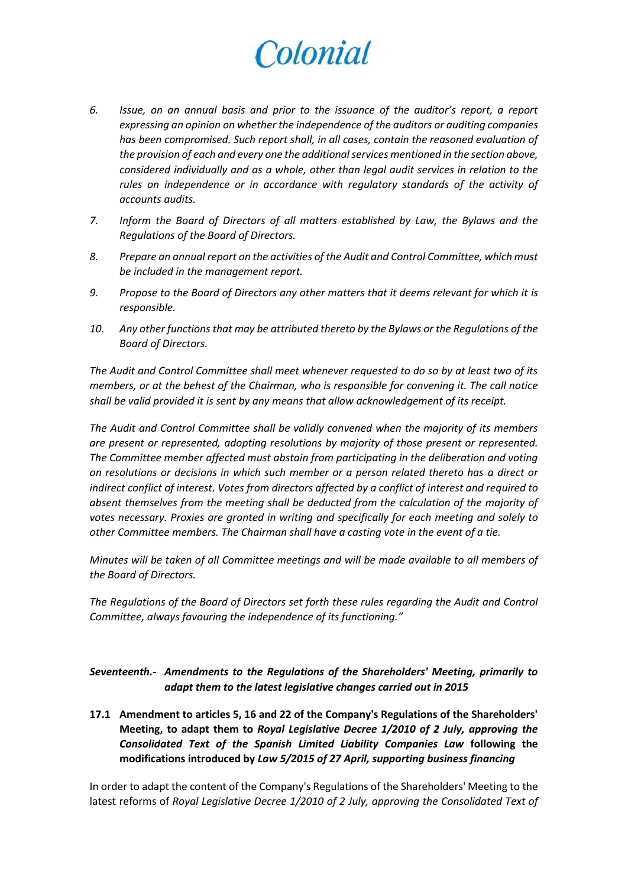- *6. Issue, on an annual basis and prior to the issuance of the auditor's report, a report expressing an opinion on whether the independence of the auditors or auditing companies*  has been compromised. Such report shall, in all cases, contain the reasoned evaluation of *the provision of each and every one the additional services mentioned in the section above, considered individually and as a whole, other than legal audit services in relation to the*  rules on independence or in accordance with regulatory standards of the activity of *accounts audits.*
- *7. Inform the Board of Directors of all matters established by Law, the Bylaws and the Regulations of the Board of Directors.*
- *8. Prepare an annual report on the activities of the Audit and Control Committee, which must be included in the management report.*
- *9. Propose to the Board of Directors any other matters that it deems relevant for which it is responsible.*
- *10. Any other functions that may be attributed thereto by the Bylaws or the Regulations of the Board of Directors.*

*The Audit and Control Committee shall meet whenever requested to do so by at least two of its members, or at the behest of the Chairman, who is responsible for convening it. The call notice shall be valid provided it is sent by any means that allow acknowledgement of its receipt.*

*The Audit and Control Committee shall be validly convened when the majority of its members are present or represented, adopting resolutions by majority of those present or represented. The Committee member affected must abstain from participating in the deliberation and voting on resolutions or decisions in which such member or a person related thereto has a direct or indirect conflict of interest. Votes from directors affected by a conflict of interest and required to absent themselves from the meeting shall be deducted from the calculation of the majority of votes necessary. Proxies are granted in writing and specifically for each meeting and solely to other Committee members. The Chairman shall have a casting vote in the event of a tie.*

*Minutes will be taken of all Committee meetings and will be made available to all members of the Board of Directors.*

*The Regulations of the Board of Directors set forth these rules regarding the Audit and Control Committee, always favouring the independence of its functioning."*

*Seventeenth.- Amendments to the Regulations of the Shareholders' Meeting, primarily to adapt them to the latest legislative changes carried out in 2015*

**17.1 Amendment to articles 5, 16 and 22 of the Company's Regulations of the Shareholders' Meeting, to adapt them to** *Royal Legislative Decree 1/2010 of 2 July, approving the Consolidated Text of the Spanish Limited Liability Companies Law* **following the modifications introduced by** *Law 5/2015 of 27 April, supporting business financing*

In order to adapt the content of the Company's Regulations of the Shareholders' Meeting to the latest reforms of *Royal Legislative Decree 1/2010 of 2 July, approving the Consolidated Text of*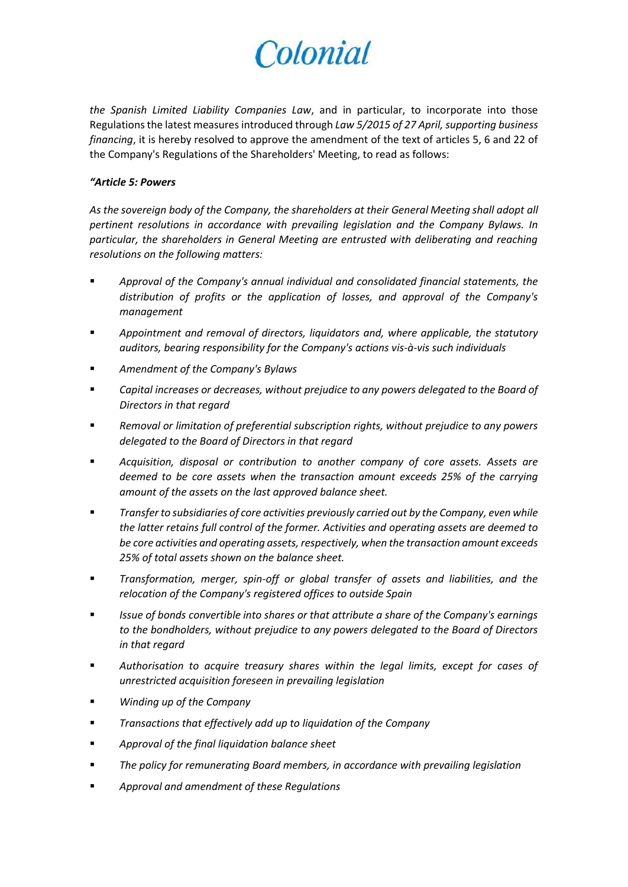*the Spanish Limited Liability Companies Law*, and in particular, to incorporate into those Regulations the latest measures introduced through *Law 5/2015 of 27 April, supporting business financing*, it is hereby resolved to approve the amendment of the text of articles 5, 6 and 22 of the Company's Regulations of the Shareholders' Meeting, to read as follows:

#### *"Article 5: Powers*

*As the sovereign body of the Company, the shareholders at their General Meeting shall adopt all pertinent resolutions in accordance with prevailing legislation and the Company Bylaws. In particular, the shareholders in General Meeting are entrusted with deliberating and reaching resolutions on the following matters:*

- *Approval of the Company's annual individual and consolidated financial statements, the distribution of profits or the application of losses, and approval of the Company's management*
- *Appointment and removal of directors, liquidators and, where applicable, the statutory auditors, bearing responsibility for the Company's actions vis-à-vis such individuals*
- *Amendment of the Company's Bylaws*
- *Capital increases or decreases, without prejudice to any powers delegated to the Board of Directors in that regard*
- *Removal or limitation of preferential subscription rights, without prejudice to any powers delegated to the Board of Directors in that regard*
- *Acquisition, disposal or contribution to another company of core assets. Assets are deemed to be core assets when the transaction amount exceeds 25% of the carrying amount of the assets on the last approved balance sheet.*
- *Transfer to subsidiaries of core activities previously carried out by the Company, even while the latter retains full control of the former. Activities and operating assets are deemed to be core activities and operating assets, respectively, when the transaction amount exceeds 25% of total assets shown on the balance sheet.*
- *Transformation, merger, spin-off or global transfer of assets and liabilities, and the relocation of the Company's registered offices to outside Spain*
- *Issue of bonds convertible into shares or that attribute a share of the Company's earnings to the bondholders, without prejudice to any powers delegated to the Board of Directors in that regard*
- *Authorisation to acquire treasury shares within the legal limits, except for cases of unrestricted acquisition foreseen in prevailing legislation*
- *Winding up of the Company*
- *Transactions that effectively add up to liquidation of the Company*
- *Approval of the final liquidation balance sheet*
- *The policy for remunerating Board members, in accordance with prevailing legislation*
- *Approval and amendment of these Regulations*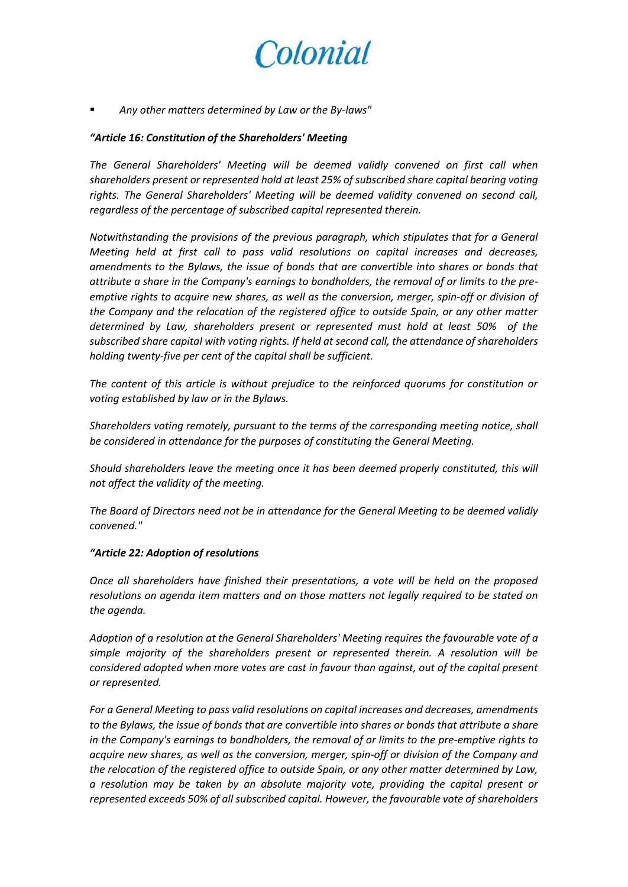

*Any other matters determined by Law or the By-laws"*

#### *"Article 16: Constitution of the Shareholders' Meeting*

*The General Shareholders' Meeting will be deemed validly convened on first call when shareholders present or represented hold at least 25% of subscribed share capital bearing voting rights. The General Shareholders' Meeting will be deemed validity convened on second call, regardless of the percentage of subscribed capital represented therein.*

*Notwithstanding the provisions of the previous paragraph, which stipulates that for a General Meeting held at first call to pass valid resolutions on capital increases and decreases, amendments to the Bylaws, the issue of bonds that are convertible into shares or bonds that attribute a share in the Company's earnings to bondholders, the removal of or limits to the preemptive rights to acquire new shares, as well as the conversion, merger, spin-off or division of the Company and the relocation of the registered office to outside Spain, or any other matter determined by Law, shareholders present or represented must hold at least 50% of the subscribed share capital with voting rights. If held at second call, the attendance of shareholders holding twenty-five per cent of the capital shall be sufficient.*

*The content of this article is without prejudice to the reinforced quorums for constitution or voting established by law or in the Bylaws.*

*Shareholders voting remotely, pursuant to the terms of the corresponding meeting notice, shall be considered in attendance for the purposes of constituting the General Meeting.*

*Should shareholders leave the meeting once it has been deemed properly constituted, this will not affect the validity of the meeting.*

*The Board of Directors need not be in attendance for the General Meeting to be deemed validly convened."*

#### *"Article 22: Adoption of resolutions*

*Once all shareholders have finished their presentations, a vote will be held on the proposed resolutions on agenda item matters and on those matters not legally required to be stated on the agenda.*

*Adoption of a resolution at the General Shareholders' Meeting requires the favourable vote of a simple majority of the shareholders present or represented therein. A resolution will be considered adopted when more votes are cast in favour than against, out of the capital present or represented.*

*For a General Meeting to pass valid resolutions on capital increases and decreases, amendments to the Bylaws, the issue of bonds that are convertible into shares or bonds that attribute a share in the Company's earnings to bondholders, the removal of or limits to the pre-emptive rights to acquire new shares, as well as the conversion, merger, spin-off or division of the Company and the relocation of the registered office to outside Spain, or any other matter determined by Law, a resolution may be taken by an absolute majority vote, providing the capital present or represented exceeds 50% of all subscribed capital. However, the favourable vote of shareholders*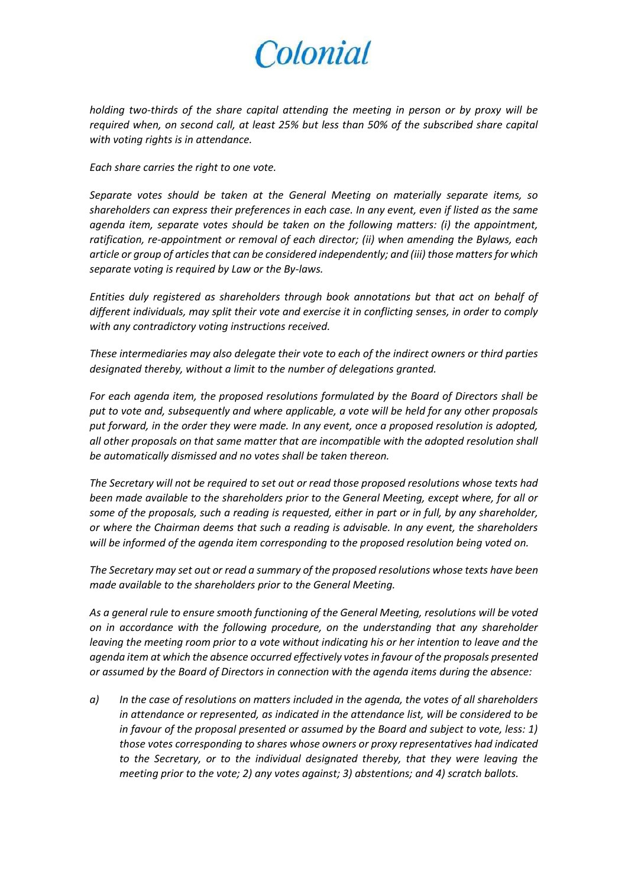*holding two-thirds of the share capital attending the meeting in person or by proxy will be required when, on second call, at least 25% but less than 50% of the subscribed share capital with voting rights is in attendance.*

*Each share carries the right to one vote.*

*Separate votes should be taken at the General Meeting on materially separate items, so shareholders can express their preferences in each case. In any event, even if listed as the same agenda item, separate votes should be taken on the following matters: (i) the appointment, ratification, re-appointment or removal of each director; (ii) when amending the Bylaws, each article or group of articles that can be considered independently; and (iii) those matters for which separate voting is required by Law or the By-laws.*

*Entities duly registered as shareholders through book annotations but that act on behalf of different individuals, may split their vote and exercise it in conflicting senses, in order to comply with any contradictory voting instructions received.*

*These intermediaries may also delegate their vote to each of the indirect owners or third parties designated thereby, without a limit to the number of delegations granted.*

*For each agenda item, the proposed resolutions formulated by the Board of Directors shall be put to vote and, subsequently and where applicable, a vote will be held for any other proposals put forward, in the order they were made. In any event, once a proposed resolution is adopted, all other proposals on that same matter that are incompatible with the adopted resolution shall be automatically dismissed and no votes shall be taken thereon.*

*The Secretary will not be required to set out or read those proposed resolutions whose texts had been made available to the shareholders prior to the General Meeting, except where, for all or some of the proposals, such a reading is requested, either in part or in full, by any shareholder, or where the Chairman deems that such a reading is advisable. In any event, the shareholders will be informed of the agenda item corresponding to the proposed resolution being voted on.*

*The Secretary may set out or read a summary of the proposed resolutions whose texts have been made available to the shareholders prior to the General Meeting.*

*As a general rule to ensure smooth functioning of the General Meeting, resolutions will be voted on in accordance with the following procedure, on the understanding that any shareholder leaving the meeting room prior to a vote without indicating his or her intention to leave and the agenda item at which the absence occurred effectively votes in favour of the proposals presented or assumed by the Board of Directors in connection with the agenda items during the absence:*

*a) In the case of resolutions on matters included in the agenda, the votes of all shareholders in attendance or represented, as indicated in the attendance list, will be considered to be in favour of the proposal presented or assumed by the Board and subject to vote, less: 1) those votes corresponding to shares whose owners or proxy representatives had indicated to the Secretary, or to the individual designated thereby, that they were leaving the meeting prior to the vote; 2) any votes against; 3) abstentions; and 4) scratch ballots.*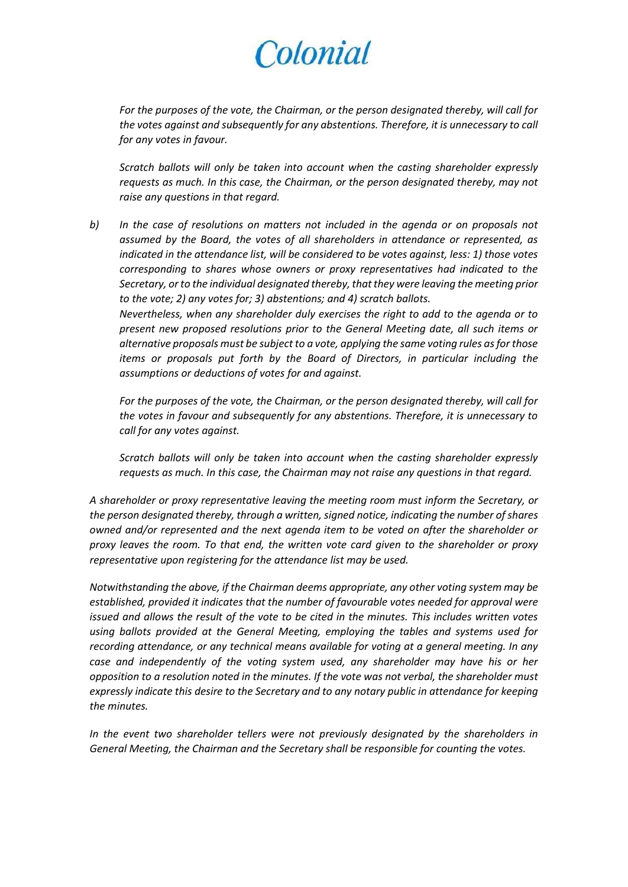*For the purposes of the vote, the Chairman, or the person designated thereby, will call for the votes against and subsequently for any abstentions. Therefore, it is unnecessary to call for any votes in favour.*

*Scratch ballots will only be taken into account when the casting shareholder expressly requests as much. In this case, the Chairman, or the person designated thereby, may not raise any questions in that regard.*

*b) In the case of resolutions on matters not included in the agenda or on proposals not assumed by the Board, the votes of all shareholders in attendance or represented, as indicated in the attendance list, will be considered to be votes against, less: 1) those votes corresponding to shares whose owners or proxy representatives had indicated to the Secretary, or to the individual designated thereby, that they were leaving the meeting prior to the vote; 2) any votes for; 3) abstentions; and 4) scratch ballots. Nevertheless, when any shareholder duly exercises the right to add to the agenda or to present new proposed resolutions prior to the General Meeting date, all such items or* 

*alternative proposals must be subject to a vote, applying the same voting rules as for those items or proposals put forth by the Board of Directors, in particular including the assumptions or deductions of votes for and against.*

*For the purposes of the vote, the Chairman, or the person designated thereby, will call for the votes in favour and subsequently for any abstentions. Therefore, it is unnecessary to call for any votes against.*

*Scratch ballots will only be taken into account when the casting shareholder expressly requests as much. In this case, the Chairman may not raise any questions in that regard.* 

*A shareholder or proxy representative leaving the meeting room must inform the Secretary, or the person designated thereby, through a written, signed notice, indicating the number of shares owned and/or represented and the next agenda item to be voted on after the shareholder or proxy leaves the room. To that end, the written vote card given to the shareholder or proxy representative upon registering for the attendance list may be used.*

*Notwithstanding the above, if the Chairman deems appropriate, any other voting system may be established, provided it indicates that the number of favourable votes needed for approval were issued and allows the result of the vote to be cited in the minutes. This includes written votes using ballots provided at the General Meeting, employing the tables and systems used for recording attendance, or any technical means available for voting at a general meeting. In any case and independently of the voting system used, any shareholder may have his or her opposition to a resolution noted in the minutes. If the vote was not verbal, the shareholder must expressly indicate this desire to the Secretary and to any notary public in attendance for keeping the minutes.*

*In the event two shareholder tellers were not previously designated by the shareholders in General Meeting, the Chairman and the Secretary shall be responsible for counting the votes.*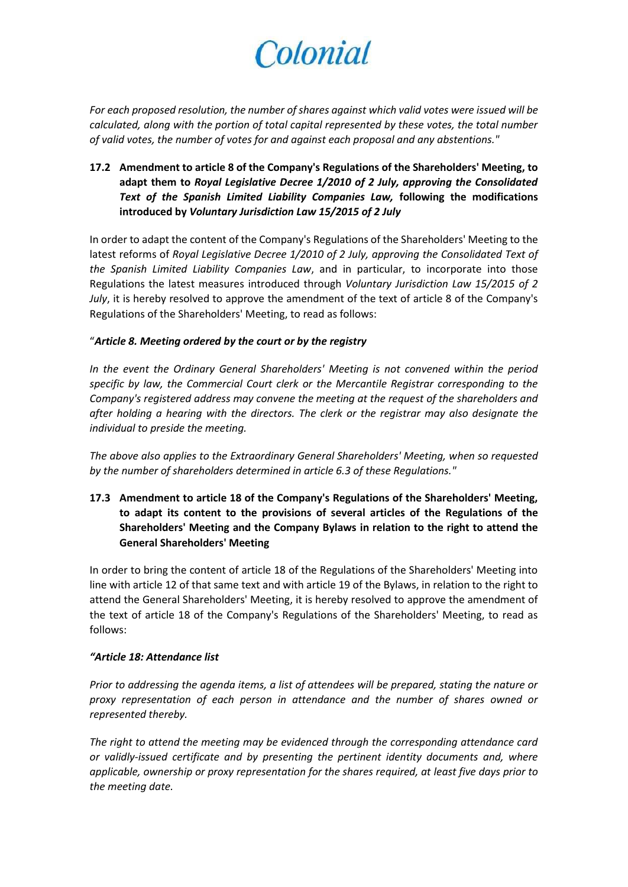*For each proposed resolution, the number of shares against which valid votes were issued will be calculated, along with the portion of total capital represented by these votes, the total number of valid votes, the number of votes for and against each proposal and any abstentions."*

## **17.2 Amendment to article 8 of the Company's Regulations of the Shareholders' Meeting, to adapt them to** *Royal Legislative Decree 1/2010 of 2 July, approving the Consolidated Text of the Spanish Limited Liability Companies Law,* **following the modifications introduced by** *Voluntary Jurisdiction Law 15/2015 of 2 July*

In order to adapt the content of the Company's Regulations of the Shareholders' Meeting to the latest reforms of *Royal Legislative Decree 1/2010 of 2 July, approving the Consolidated Text of the Spanish Limited Liability Companies Law*, and in particular, to incorporate into those Regulations the latest measures introduced through *Voluntary Jurisdiction Law 15/2015 of 2 July*, it is hereby resolved to approve the amendment of the text of article 8 of the Company's Regulations of the Shareholders' Meeting, to read as follows:

#### "*Article 8. Meeting ordered by the court or by the registry*

*In the event the Ordinary General Shareholders' Meeting is not convened within the period specific by law, the Commercial Court clerk or the Mercantile Registrar corresponding to the Company's registered address may convene the meeting at the request of the shareholders and after holding a hearing with the directors. The clerk or the registrar may also designate the individual to preside the meeting.*

*The above also applies to the Extraordinary General Shareholders' Meeting, when so requested by the number of shareholders determined in article 6.3 of these Regulations."*

**17.3 Amendment to article 18 of the Company's Regulations of the Shareholders' Meeting, to adapt its content to the provisions of several articles of the Regulations of the Shareholders' Meeting and the Company Bylaws in relation to the right to attend the General Shareholders' Meeting**

In order to bring the content of article 18 of the Regulations of the Shareholders' Meeting into line with article 12 of that same text and with article 19 of the Bylaws, in relation to the right to attend the General Shareholders' Meeting, it is hereby resolved to approve the amendment of the text of article 18 of the Company's Regulations of the Shareholders' Meeting, to read as follows:

### *"Article 18: Attendance list*

*Prior to addressing the agenda items, a list of attendees will be prepared, stating the nature or proxy representation of each person in attendance and the number of shares owned or represented thereby.* 

*The right to attend the meeting may be evidenced through the corresponding attendance card or validly-issued certificate and by presenting the pertinent identity documents and, where applicable, ownership or proxy representation for the shares required, at least five days prior to the meeting date.*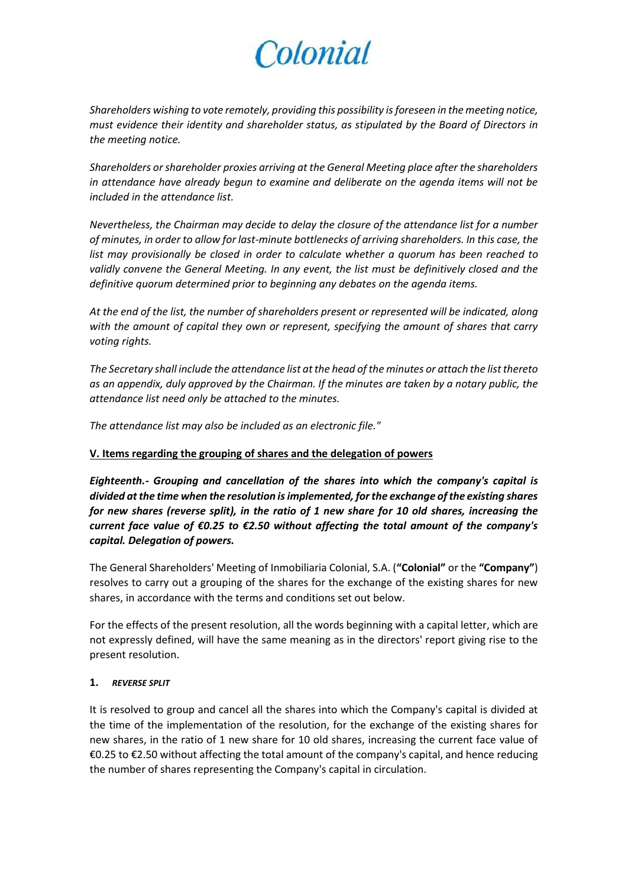*Shareholders wishing to vote remotely, providing this possibility is foreseen in the meeting notice, must evidence their identity and shareholder status, as stipulated by the Board of Directors in the meeting notice.* 

*Shareholders or shareholder proxies arriving at the General Meeting place after the shareholders in attendance have already begun to examine and deliberate on the agenda items will not be included in the attendance list.*

*Nevertheless, the Chairman may decide to delay the closure of the attendance list for a number of minutes, in order to allow for last-minute bottlenecks of arriving shareholders. In this case, the list may provisionally be closed in order to calculate whether a quorum has been reached to validly convene the General Meeting. In any event, the list must be definitively closed and the definitive quorum determined prior to beginning any debates on the agenda items.*

*At the end of the list, the number of shareholders present or represented will be indicated, along with the amount of capital they own or represent, specifying the amount of shares that carry voting rights.*

*The Secretary shall include the attendance list at the head of the minutes or attach the list thereto as an appendix, duly approved by the Chairman. If the minutes are taken by a notary public, the attendance list need only be attached to the minutes.*

*The attendance list may also be included as an electronic file."*

### **V. Items regarding the grouping of shares and the delegation of powers**

*Eighteenth.- Grouping and cancellation of the shares into which the company's capital is divided at the time when the resolution is implemented, for the exchange of the existing shares for new shares (reverse split), in the ratio of 1 new share for 10 old shares, increasing the current face value of €0.25 to €2.50 without affecting the total amount of the company's capital. Delegation of powers.*

The General Shareholders' Meeting of Inmobiliaria Colonial, S.A. (**"Colonial"** or the **"Company"**) resolves to carry out a grouping of the shares for the exchange of the existing shares for new shares, in accordance with the terms and conditions set out below.

For the effects of the present resolution, all the words beginning with a capital letter, which are not expressly defined, will have the same meaning as in the directors' report giving rise to the present resolution.

#### **1.** *REVERSE SPLIT*

It is resolved to group and cancel all the shares into which the Company's capital is divided at the time of the implementation of the resolution, for the exchange of the existing shares for new shares, in the ratio of 1 new share for 10 old shares, increasing the current face value of €0.25 to €2.50 without affecting the total amount of the company's capital, and hence reducing the number of shares representing the Company's capital in circulation.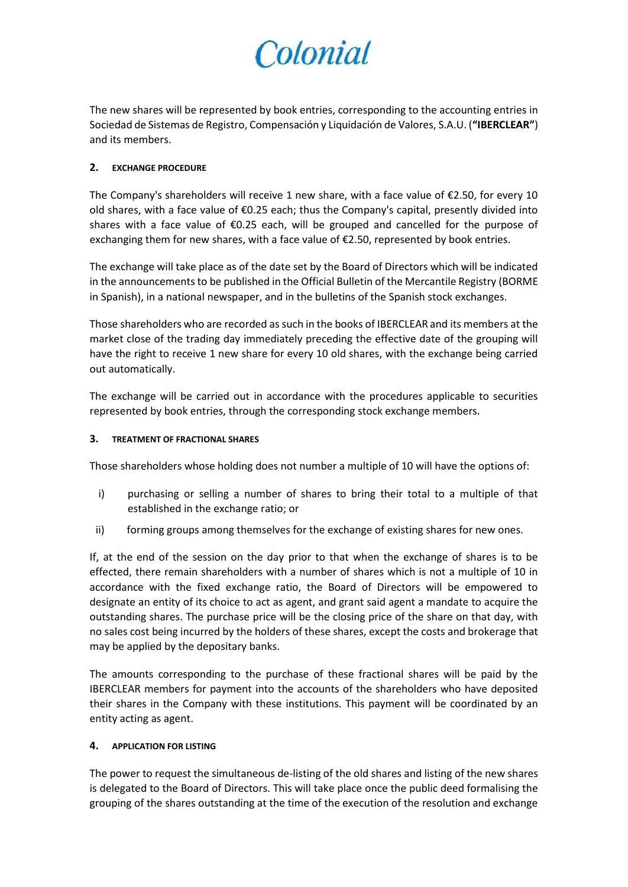The new shares will be represented by book entries, corresponding to the accounting entries in Sociedad de Sistemas de Registro, Compensación y Liquidación de Valores, S.A.U. (**"IBERCLEAR"**) and its members.

#### **2. EXCHANGE PROCEDURE**

The Company's shareholders will receive 1 new share, with a face value of  $\epsilon$ 2.50, for every 10 old shares, with a face value of €0.25 each; thus the Company's capital, presently divided into shares with a face value of €0.25 each, will be grouped and cancelled for the purpose of exchanging them for new shares, with a face value of  $E$ 2.50, represented by book entries.

The exchange will take place as of the date set by the Board of Directors which will be indicated in the announcements to be published in the Official Bulletin of the Mercantile Registry (BORME in Spanish), in a national newspaper, and in the bulletins of the Spanish stock exchanges.

Those shareholders who are recorded as such in the books of IBERCLEAR and its members at the market close of the trading day immediately preceding the effective date of the grouping will have the right to receive 1 new share for every 10 old shares, with the exchange being carried out automatically.

The exchange will be carried out in accordance with the procedures applicable to securities represented by book entries, through the corresponding stock exchange members.

### **3. TREATMENT OF FRACTIONAL SHARES**

Those shareholders whose holding does not number a multiple of 10 will have the options of:

- i) purchasing or selling a number of shares to bring their total to a multiple of that established in the exchange ratio; or
- ii) forming groups among themselves for the exchange of existing shares for new ones.

If, at the end of the session on the day prior to that when the exchange of shares is to be effected, there remain shareholders with a number of shares which is not a multiple of 10 in accordance with the fixed exchange ratio, the Board of Directors will be empowered to designate an entity of its choice to act as agent, and grant said agent a mandate to acquire the outstanding shares. The purchase price will be the closing price of the share on that day, with no sales cost being incurred by the holders of these shares, except the costs and brokerage that may be applied by the depositary banks.

The amounts corresponding to the purchase of these fractional shares will be paid by the IBERCLEAR members for payment into the accounts of the shareholders who have deposited their shares in the Company with these institutions. This payment will be coordinated by an entity acting as agent.

### **4. APPLICATION FOR LISTING**

The power to request the simultaneous de-listing of the old shares and listing of the new shares is delegated to the Board of Directors. This will take place once the public deed formalising the grouping of the shares outstanding at the time of the execution of the resolution and exchange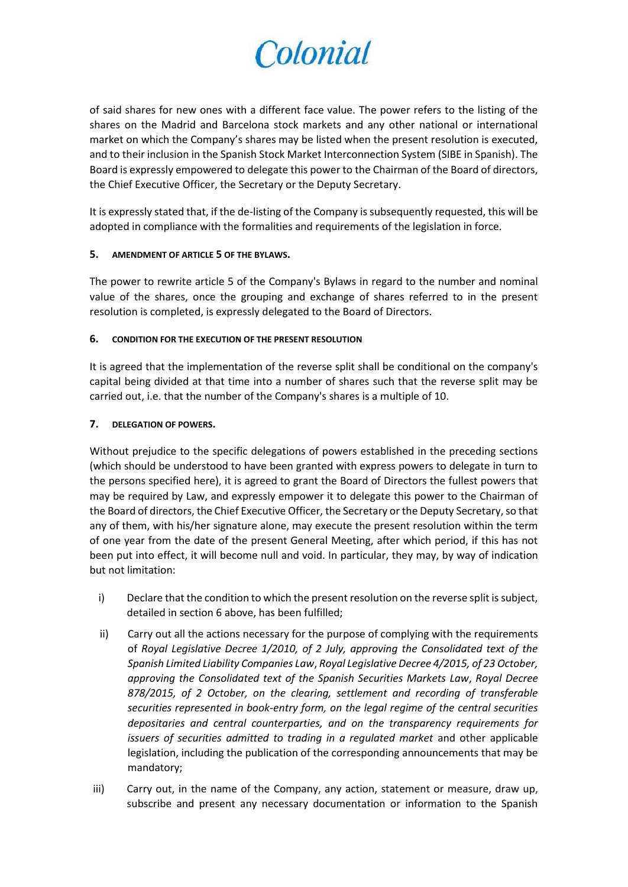of said shares for new ones with a different face value. The power refers to the listing of the shares on the Madrid and Barcelona stock markets and any other national or international market on which the Company's shares may be listed when the present resolution is executed, and to their inclusion in the Spanish Stock Market Interconnection System (SIBE in Spanish). The Board is expressly empowered to delegate this power to the Chairman of the Board of directors, the Chief Executive Officer, the Secretary or the Deputy Secretary.

It is expressly stated that, if the de-listing of the Company is subsequently requested, this will be adopted in compliance with the formalities and requirements of the legislation in force.

#### **5. AMENDMENT OF ARTICLE 5 OF THE BYLAWS.**

The power to rewrite article 5 of the Company's Bylaws in regard to the number and nominal value of the shares, once the grouping and exchange of shares referred to in the present resolution is completed, is expressly delegated to the Board of Directors.

#### **6. CONDITION FOR THE EXECUTION OF THE PRESENT RESOLUTION**

It is agreed that the implementation of the reverse split shall be conditional on the company's capital being divided at that time into a number of shares such that the reverse split may be carried out, i.e. that the number of the Company's shares is a multiple of 10.

#### **7. DELEGATION OF POWERS.**

Without prejudice to the specific delegations of powers established in the preceding sections (which should be understood to have been granted with express powers to delegate in turn to the persons specified here), it is agreed to grant the Board of Directors the fullest powers that may be required by Law, and expressly empower it to delegate this power to the Chairman of the Board of directors, the Chief Executive Officer, the Secretary or the Deputy Secretary, so that any of them, with his/her signature alone, may execute the present resolution within the term of one year from the date of the present General Meeting, after which period, if this has not been put into effect, it will become null and void. In particular, they may, by way of indication but not limitation:

- i) Declare that the condition to which the present resolution on the reverse split is subject, detailed in section 6 above, has been fulfilled;
- ii) Carry out all the actions necessary for the purpose of complying with the requirements of *Royal Legislative Decree 1/2010, of 2 July, approving the Consolidated text of the Spanish Limited Liability Companies Law*, *Royal Legislative Decree 4/2015, of 23 October, approving the Consolidated text of the Spanish Securities Markets Law*, *Royal Decree 878/2015, of 2 October, on the clearing, settlement and recording of transferable securities represented in book-entry form, on the legal regime of the central securities depositaries and central counterparties, and on the transparency requirements for issuers of securities admitted to trading in a regulated market* and other applicable legislation, including the publication of the corresponding announcements that may be mandatory;
- iii) Carry out, in the name of the Company, any action, statement or measure, draw up, subscribe and present any necessary documentation or information to the Spanish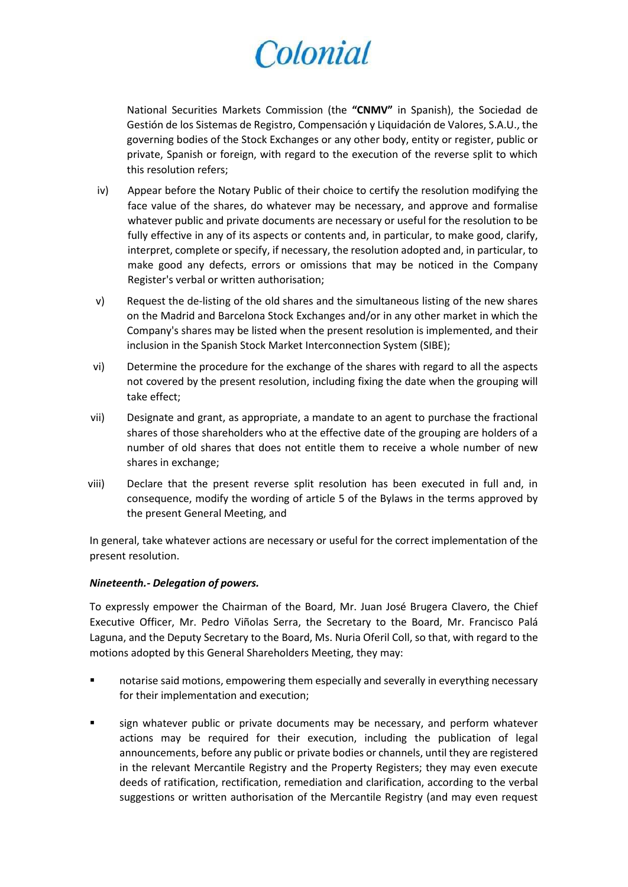National Securities Markets Commission (the **"CNMV"** in Spanish), the Sociedad de Gestión de los Sistemas de Registro, Compensación y Liquidación de Valores, S.A.U., the governing bodies of the Stock Exchanges or any other body, entity or register, public or private, Spanish or foreign, with regard to the execution of the reverse split to which this resolution refers;

- iv) Appear before the Notary Public of their choice to certify the resolution modifying the face value of the shares, do whatever may be necessary, and approve and formalise whatever public and private documents are necessary or useful for the resolution to be fully effective in any of its aspects or contents and, in particular, to make good, clarify, interpret, complete or specify, if necessary, the resolution adopted and, in particular, to make good any defects, errors or omissions that may be noticed in the Company Register's verbal or written authorisation;
- v) Request the de-listing of the old shares and the simultaneous listing of the new shares on the Madrid and Barcelona Stock Exchanges and/or in any other market in which the Company's shares may be listed when the present resolution is implemented, and their inclusion in the Spanish Stock Market Interconnection System (SIBE);
- vi) Determine the procedure for the exchange of the shares with regard to all the aspects not covered by the present resolution, including fixing the date when the grouping will take effect;
- vii) Designate and grant, as appropriate, a mandate to an agent to purchase the fractional shares of those shareholders who at the effective date of the grouping are holders of a number of old shares that does not entitle them to receive a whole number of new shares in exchange;
- viii) Declare that the present reverse split resolution has been executed in full and, in consequence, modify the wording of article 5 of the Bylaws in the terms approved by the present General Meeting, and

In general, take whatever actions are necessary or useful for the correct implementation of the present resolution.

#### *Nineteenth.- Delegation of powers.*

To expressly empower the Chairman of the Board, Mr. Juan José Brugera Clavero, the Chief Executive Officer, Mr. Pedro Viñolas Serra, the Secretary to the Board, Mr. Francisco Palá Laguna, and the Deputy Secretary to the Board, Ms. Nuria Oferil Coll, so that, with regard to the motions adopted by this General Shareholders Meeting, they may:

- notarise said motions, empowering them especially and severally in everything necessary for their implementation and execution;
- **sign whatever public or private documents may be necessary, and perform whatever** actions may be required for their execution, including the publication of legal announcements, before any public or private bodies or channels, until they are registered in the relevant Mercantile Registry and the Property Registers; they may even execute deeds of ratification, rectification, remediation and clarification, according to the verbal suggestions or written authorisation of the Mercantile Registry (and may even request